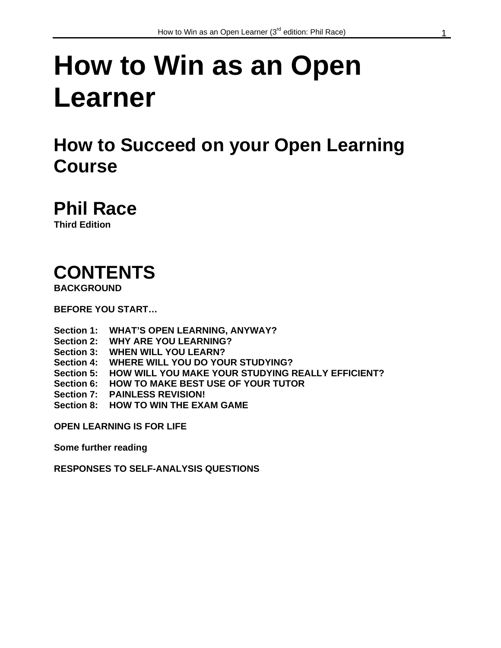# **How to Win as an Open Learner**

### **How to Succeed on your Open Learning Course**

## **Phil Race**

**Third Edition** 

## **CONTENTS**

**BACKGROUND** 

**BEFORE YOU START…** 

**Section 1: WHAT'S OPEN LEARNING, ANYWAY? Section 2: WHY ARE YOU LEARNING? Section 3: WHEN WILL YOU LEARN? Section 4: WHERE WILL YOU DO YOUR STUDYING? Section 5: HOW WILL YOU MAKE YOUR STUDYING REALLY EFFICIENT? Section 6: HOW TO MAKE BEST USE OF YOUR TUTOR Section 7: PAINLESS REVISION! Section 8: HOW TO WIN THE EXAM GAME** 

**OPEN LEARNING IS FOR LIFE** 

**Some further reading** 

**RESPONSES TO SELF-ANALYSIS QUESTIONS**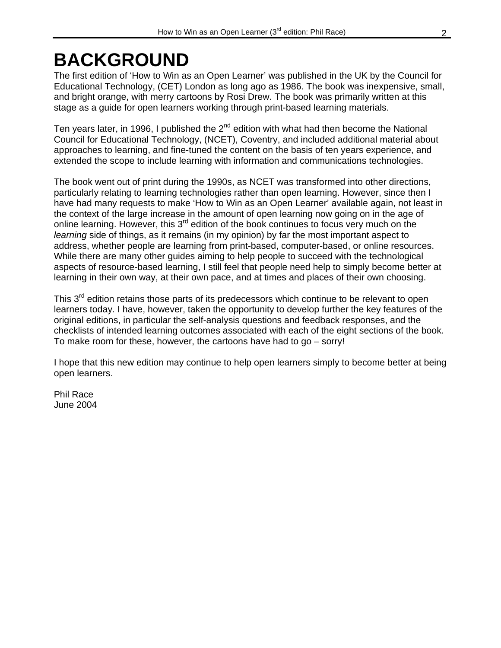## **BACKGROUND**

The first edition of 'How to Win as an Open Learner' was published in the UK by the Council for Educational Technology, (CET) London as long ago as 1986. The book was inexpensive, small, and bright orange, with merry cartoons by Rosi Drew. The book was primarily written at this stage as a guide for open learners working through print-based learning materials.

Ten years later, in 1996, I published the 2<sup>nd</sup> edition with what had then become the National Council for Educational Technology, (NCET), Coventry, and included additional material about approaches to learning, and fine-tuned the content on the basis of ten years experience, and extended the scope to include learning with information and communications technologies.

The book went out of print during the 1990s, as NCET was transformed into other directions, particularly relating to learning technologies rather than open learning. However, since then I have had many requests to make 'How to Win as an Open Learner' available again, not least in the context of the large increase in the amount of open learning now going on in the age of online learning. However, this 3<sup>rd</sup> edition of the book continues to focus very much on the *learning* side of things, as it remains (in my opinion) by far the most important aspect to address, whether people are learning from print-based, computer-based, or online resources. While there are many other guides aiming to help people to succeed with the technological aspects of resource-based learning, I still feel that people need help to simply become better at learning in their own way, at their own pace, and at times and places of their own choosing.

This 3<sup>rd</sup> edition retains those parts of its predecessors which continue to be relevant to open learners today. I have, however, taken the opportunity to develop further the key features of the original editions, in particular the self-analysis questions and feedback responses, and the checklists of intended learning outcomes associated with each of the eight sections of the book. To make room for these, however, the cartoons have had to go – sorry!

I hope that this new edition may continue to help open learners simply to become better at being open learners.

Phil Race June 2004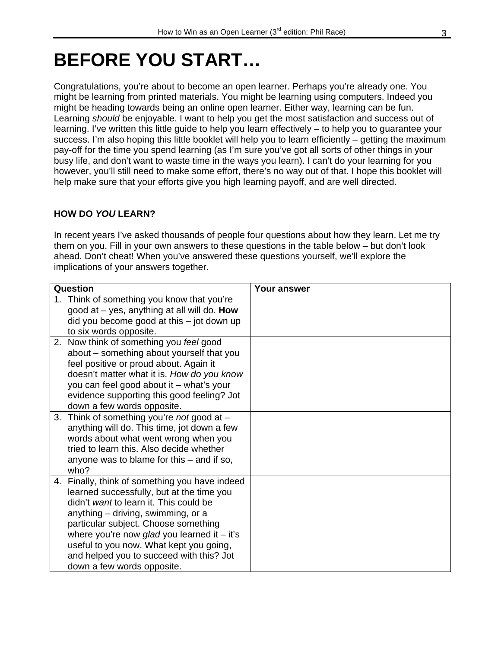### **BEFORE YOU START…**

Congratulations, you're about to become an open learner. Perhaps you're already one. You might be learning from printed materials. You might be learning using computers. Indeed you might be heading towards being an online open learner. Either way, learning can be fun. Learning *should* be enjoyable. I want to help you get the most satisfaction and success out of learning. I've written this little guide to help you learn effectively – to help you to guarantee your success. I'm also hoping this little booklet will help you to learn efficiently – getting the maximum pay-off for the time you spend learning (as I'm sure you've got all sorts of other things in your busy life, and don't want to waste time in the ways you learn). I can't do your learning for you however, you'll still need to make some effort, there's no way out of that. I hope this booklet will help make sure that your efforts give you high learning payoff, and are well directed.

#### **HOW DO** *YOU* **LEARN?**

In recent years I've asked thousands of people four questions about how they learn. Let me try them on you. Fill in your own answers to these questions in the table below – but don't look ahead. Don't cheat! When you've answered these questions yourself, we'll explore the implications of your answers together.

| Question |                                                                                                    | <b>Your answer</b> |
|----------|----------------------------------------------------------------------------------------------------|--------------------|
|          | 1. Think of something you know that you're<br>good at $-$ yes, anything at all will do. <b>How</b> |                    |
|          |                                                                                                    |                    |
|          | did you become good at this - jot down up                                                          |                    |
|          | to six words opposite.                                                                             |                    |
|          | 2. Now think of something you feel good                                                            |                    |
|          | about – something about yourself that you<br>feel positive or proud about. Again it                |                    |
|          | doesn't matter what it is. How do you know                                                         |                    |
|          | you can feel good about it - what's your                                                           |                    |
|          | evidence supporting this good feeling? Jot                                                         |                    |
|          | down a few words opposite.                                                                         |                    |
|          | 3. Think of something you're <i>not</i> good at $-$                                                |                    |
|          | anything will do. This time, jot down a few                                                        |                    |
|          | words about what went wrong when you                                                               |                    |
|          | tried to learn this. Also decide whether                                                           |                    |
|          | anyone was to blame for this $-$ and if so,                                                        |                    |
| who?     |                                                                                                    |                    |
|          | 4. Finally, think of something you have indeed                                                     |                    |
|          | learned successfully, but at the time you                                                          |                    |
|          | didn't want to learn it. This could be                                                             |                    |
|          | anything – driving, swimming, or a                                                                 |                    |
|          | particular subject. Choose something                                                               |                    |
|          | where you're now glad you learned it $-$ it's                                                      |                    |
|          | useful to you now. What kept you going,                                                            |                    |
|          | and helped you to succeed with this? Jot                                                           |                    |
|          | down a few words opposite.                                                                         |                    |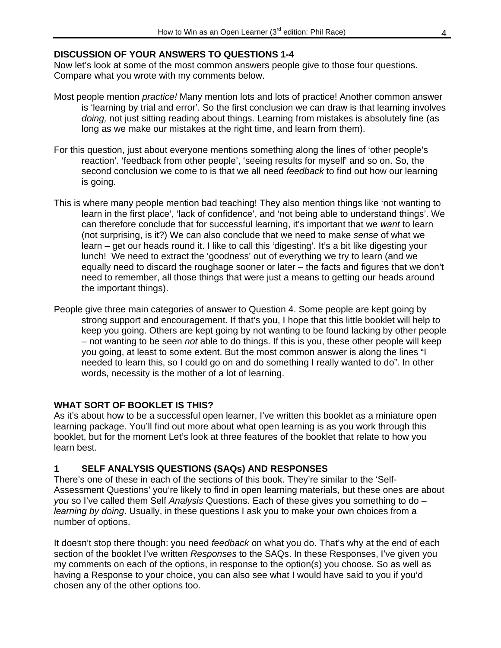#### **DISCUSSION OF YOUR ANSWERS TO QUESTIONS 1-4**

Now let's look at some of the most common answers people give to those four questions. Compare what you wrote with my comments below.

- Most people mention *practice!* Many mention lots and lots of practice! Another common answer is 'learning by trial and error'. So the first conclusion we can draw is that learning involves *doing,* not just sitting reading about things. Learning from mistakes is absolutely fine (as long as we make our mistakes at the right time, and learn from them).
- For this question, just about everyone mentions something along the lines of 'other people's reaction'. 'feedback from other people', 'seeing results for myself' and so on. So, the second conclusion we come to is that we all need *feedback* to find out how our learning is going.
- This is where many people mention bad teaching! They also mention things like 'not wanting to learn in the first place', 'lack of confidence', and 'not being able to understand things'. We can therefore conclude that for successful learning, it's important that we *want* to learn (not surprising, is it?) We can also conclude that we need to make *sense* of what we learn – get our heads round it. I like to call this 'digesting'. It's a bit like digesting your lunch! We need to extract the 'goodness' out of everything we try to learn (and we equally need to discard the roughage sooner or later – the facts and figures that we don't need to remember, all those things that were just a means to getting our heads around the important things).
- People give three main categories of answer to Question 4. Some people are kept going by strong support and encouragement. If that's you, I hope that this little booklet will help to keep you going. Others are kept going by not wanting to be found lacking by other people – not wanting to be seen *not* able to do things. If this is you, these other people will keep you going, at least to some extent. But the most common answer is along the lines "I needed to learn this, so I could go on and do something I really wanted to do". In other words, necessity is the mother of a lot of learning.

#### **WHAT SORT OF BOOKLET IS THIS?**

As it's about how to be a successful open learner, I've written this booklet as a miniature open learning package. You'll find out more about what open learning is as you work through this booklet, but for the moment Let's look at three features of the booklet that relate to how you learn best.

#### **1 SELF ANALYSIS QUESTIONS (SAQs) AND RESPONSES**

There's one of these in each of the sections of this book. They're similar to the 'Self-Assessment Questions' you're likely to find in open learning materials, but these ones are about *you* so I've called them Self *Analysis* Questions. Each of these gives you something to do – *learning by doing*. Usually, in these questions I ask you to make your own choices from a number of options.

It doesn't stop there though: you need *feedback* on what you do. That's why at the end of each section of the booklet I've written *Responses* to the SAQs. In these Responses, I've given you my comments on each of the options, in response to the option(s) you choose. So as well as having a Response to your choice, you can also see what I would have said to you if you'd chosen any of the other options too.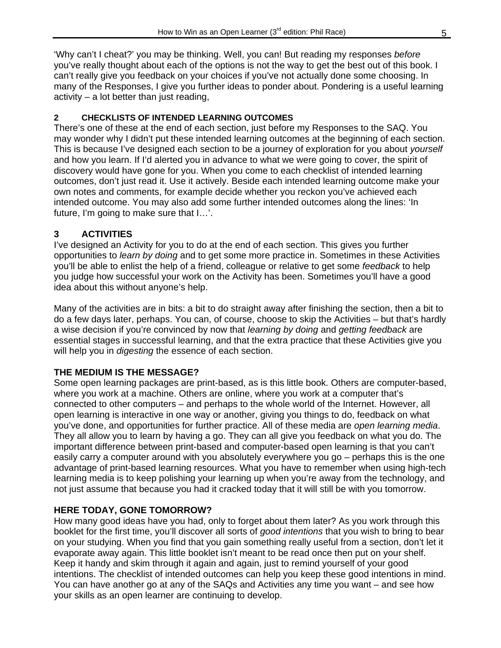'Why can't I cheat?' you may be thinking. Well, you can! But reading my responses *before*  you've really thought about each of the options is not the way to get the best out of this book. I can't really give you feedback on your choices if you've not actually done some choosing. In many of the Responses, I give you further ideas to ponder about. Pondering is a useful learning activity – a lot better than just reading,

#### **2 CHECKLISTS OF INTENDED LEARNING OUTCOMES**

There's one of these at the end of each section, just before my Responses to the SAQ. You may wonder why I didn't put these intended learning outcomes at the beginning of each section. This is because I've designed each section to be a journey of exploration for you about *yourself* and how you learn. If I'd alerted you in advance to what we were going to cover, the spirit of discovery would have gone for you. When you come to each checklist of intended learning outcomes, don't just read it. Use it actively. Beside each intended learning outcome make your own notes and comments, for example decide whether you reckon you've achieved each intended outcome. You may also add some further intended outcomes along the lines: 'In future, I'm going to make sure that I…'.

#### **3 ACTIVITIES**

I've designed an Activity for you to do at the end of each section. This gives you further opportunities to *learn by doing* and to get some more practice in. Sometimes in these Activities you'll be able to enlist the help of a friend, colleague or relative to get some *feedback* to help you judge how successful your work on the Activity has been. Sometimes you'll have a good idea about this without anyone's help.

Many of the activities are in bits: a bit to do straight away after finishing the section, then a bit to do a few days later, perhaps. You can, of course, choose to skip the Activities – but that's hardly a wise decision if you're convinced by now that *learning by doing* and *getting feedback* are essential stages in successful learning, and that the extra practice that these Activities give you will help you in *digesting* the essence of each section.

#### **THE MEDIUM IS THE MESSAGE?**

Some open learning packages are print-based, as is this little book. Others are computer-based, where you work at a machine. Others are online, where you work at a computer that's connected to other computers – and perhaps to the whole world of the Internet. However, all open learning is interactive in one way or another, giving you things to do, feedback on what you've done, and opportunities for further practice. All of these media are *open learning media*. They all allow you to learn by having a go. They can all give you feedback on what you do. The important difference between print-based and computer-based open learning is that you can't easily carry a computer around with you absolutely everywhere you go – perhaps this is the one advantage of print-based learning resources. What you have to remember when using high-tech learning media is to keep polishing your learning up when you're away from the technology, and not just assume that because you had it cracked today that it will still be with you tomorrow.

#### **HERE TODAY, GONE TOMORROW?**

How many good ideas have you had, only to forget about them later? As you work through this booklet for the first time, you'll discover all sorts of *good intentions* that you wish to bring to bear on your studying. When you find that you gain something really useful from a section, don't let it evaporate away again. This little booklet isn't meant to be read once then put on your shelf. Keep it handy and skim through it again and again, just to remind yourself of your good intentions. The checklist of intended outcomes can help you keep these good intentions in mind. You can have another go at any of the SAQs and Activities any time you want – and see how your skills as an open learner are continuing to develop.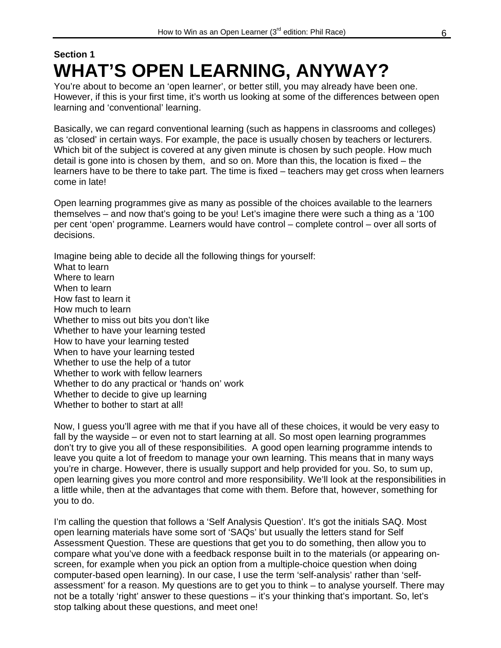### **Section 1 WHAT'S OPEN LEARNING, ANYWAY?**

You're about to become an 'open learner', or better still, you may already have been one. However, if this is your first time, it's worth us looking at some of the differences between open learning and 'conventional' learning.

Basically, we can regard conventional learning (such as happens in classrooms and colleges) as 'closed' in certain ways. For example, the pace is usually chosen by teachers or lecturers. Which bit of the subject is covered at any given minute is chosen by such people. How much detail is gone into is chosen by them, and so on. More than this, the location is fixed – the learners have to be there to take part. The time is fixed – teachers may get cross when learners come in late!

Open learning programmes give as many as possible of the choices available to the learners themselves – and now that's going to be you! Let's imagine there were such a thing as a '100 per cent 'open' programme. Learners would have control – complete control – over all sorts of decisions.

Imagine being able to decide all the following things for yourself: What to learn Where to learn When to learn How fast to learn it How much to learn Whether to miss out bits you don't like Whether to have your learning tested How to have your learning tested When to have your learning tested Whether to use the help of a tutor Whether to work with fellow learners Whether to do any practical or 'hands on' work Whether to decide to give up learning Whether to bother to start at all!

Now, I guess you'll agree with me that if you have all of these choices, it would be very easy to fall by the wayside – or even not to start learning at all. So most open learning programmes don't try to give you all of these responsibilities. A good open learning programme intends to leave you quite a lot of freedom to manage your own learning. This means that in many ways you're in charge. However, there is usually support and help provided for you. So, to sum up, open learning gives you more control and more responsibility. We'll look at the responsibilities in a little while, then at the advantages that come with them. Before that, however, something for you to do.

I'm calling the question that follows a 'Self Analysis Question'. It's got the initials SAQ. Most open learning materials have some sort of 'SAQs' but usually the letters stand for Self Assessment Question. These are questions that get you to do something, then allow you to compare what you've done with a feedback response built in to the materials (or appearing onscreen, for example when you pick an option from a multiple-choice question when doing computer-based open learning). In our case, I use the term 'self-analysis' rather than 'selfassessment' for a reason. My questions are to get you to think – to analyse yourself. There may not be a totally 'right' answer to these questions - it's your thinking that's important. So, let's stop talking about these questions, and meet one!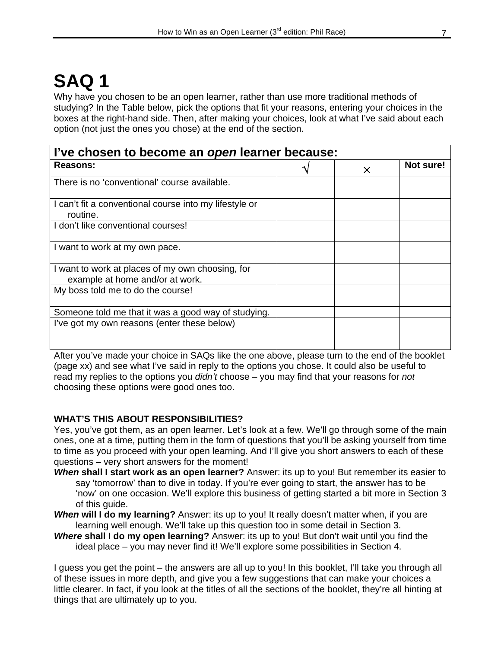## **SAQ 1**

Why have you chosen to be an open learner, rather than use more traditional methods of studying? In the Table below, pick the options that fit your reasons, entering your choices in the boxes at the right-hand side. Then, after making your choices, look at what I've said about each option (not just the ones you chose) at the end of the section.

| l've chosen to become an open learner because:                                      |  |          |           |  |
|-------------------------------------------------------------------------------------|--|----------|-----------|--|
| Reasons:                                                                            |  | $\times$ | Not sure! |  |
| There is no 'conventional' course available.                                        |  |          |           |  |
| I can't fit a conventional course into my lifestyle or<br>routine.                  |  |          |           |  |
| I don't like conventional courses!                                                  |  |          |           |  |
| I want to work at my own pace.                                                      |  |          |           |  |
| I want to work at places of my own choosing, for<br>example at home and/or at work. |  |          |           |  |
| My boss told me to do the course!                                                   |  |          |           |  |
| Someone told me that it was a good way of studying.                                 |  |          |           |  |
| I've got my own reasons (enter these below)                                         |  |          |           |  |

After you've made your choice in SAQs like the one above, please turn to the end of the booklet (page xx) and see what I've said in reply to the options you chose. It could also be useful to read my replies to the options you *didn't* choose – you may find that your reasons for *not* choosing these options were good ones too.

#### **WHAT'S THIS ABOUT RESPONSIBILITIES?**

Yes, you've got them, as an open learner. Let's look at a few. We'll go through some of the main ones, one at a time, putting them in the form of questions that you'll be asking yourself from time to time as you proceed with your open learning. And I'll give you short answers to each of these questions – very short answers for the moment!

- *When* **shall I start work as an open learner?** Answer: its up to you! But remember its easier to say 'tomorrow' than to dive in today. If you're ever going to start, the answer has to be 'now' on one occasion. We'll explore this business of getting started a bit more in Section 3 of this guide.
- *When* **will I do my learning?** Answer: its up to you! It really doesn't matter when, if you are learning well enough. We'll take up this question too in some detail in Section 3.
- *Where* **shall I do my open learning?** Answer: its up to you! But don't wait until you find the ideal place – you may never find it! We'll explore some possibilities in Section 4.

I guess you get the point – the answers are all up to you! In this booklet, I'll take you through all of these issues in more depth, and give you a few suggestions that can make your choices a little clearer. In fact, if you look at the titles of all the sections of the booklet, they're all hinting at things that are ultimately up to you.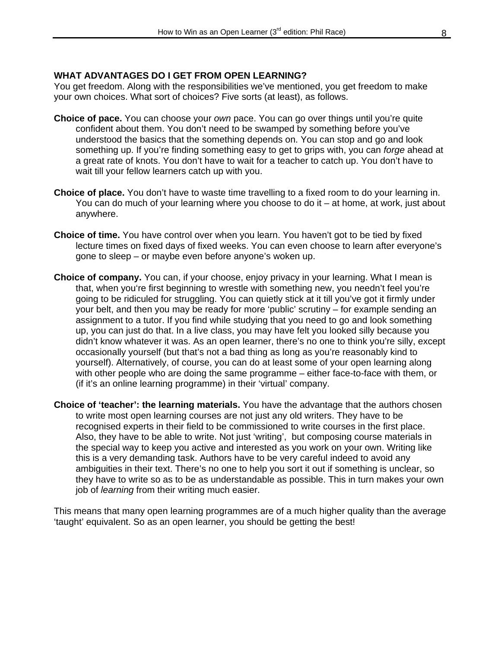#### **WHAT ADVANTAGES DO I GET FROM OPEN LEARNING?**

You get freedom. Along with the responsibilities we've mentioned, you get freedom to make your own choices. What sort of choices? Five sorts (at least), as follows.

- **Choice of pace.** You can choose your *own* pace. You can go over things until you're quite confident about them. You don't need to be swamped by something before you've understood the basics that the something depends on. You can stop and go and look something up. If you're finding something easy to get to grips with, you can *forge* ahead at a great rate of knots. You don't have to wait for a teacher to catch up. You don't have to wait till your fellow learners catch up with you.
- **Choice of place.** You don't have to waste time travelling to a fixed room to do your learning in. You can do much of your learning where you choose to do it – at home, at work, just about anywhere.
- **Choice of time.** You have control over when you learn. You haven't got to be tied by fixed lecture times on fixed days of fixed weeks. You can even choose to learn after everyone's gone to sleep – or maybe even before anyone's woken up.
- **Choice of company.** You can, if your choose, enjoy privacy in your learning. What I mean is that, when you're first beginning to wrestle with something new, you needn't feel you're going to be ridiculed for struggling. You can quietly stick at it till you've got it firmly under your belt, and then you may be ready for more 'public' scrutiny – for example sending an assignment to a tutor. If you find while studying that you need to go and look something up, you can just do that. In a live class, you may have felt you looked silly because you didn't know whatever it was. As an open learner, there's no one to think you're silly, except occasionally yourself (but that's not a bad thing as long as you're reasonably kind to yourself). Alternatively, of course, you can do at least some of your open learning along with other people who are doing the same programme – either face-to-face with them, or (if it's an online learning programme) in their 'virtual' company.
- **Choice of 'teacher': the learning materials.** You have the advantage that the authors chosen to write most open learning courses are not just any old writers. They have to be recognised experts in their field to be commissioned to write courses in the first place. Also, they have to be able to write. Not just 'writing', but composing course materials in the special way to keep you active and interested as you work on your own. Writing like this is a very demanding task. Authors have to be very careful indeed to avoid any ambiguities in their text. There's no one to help you sort it out if something is unclear, so they have to write so as to be as understandable as possible. This in turn makes your own job of *learning* from their writing much easier.

This means that many open learning programmes are of a much higher quality than the average 'taught' equivalent. So as an open learner, you should be getting the best!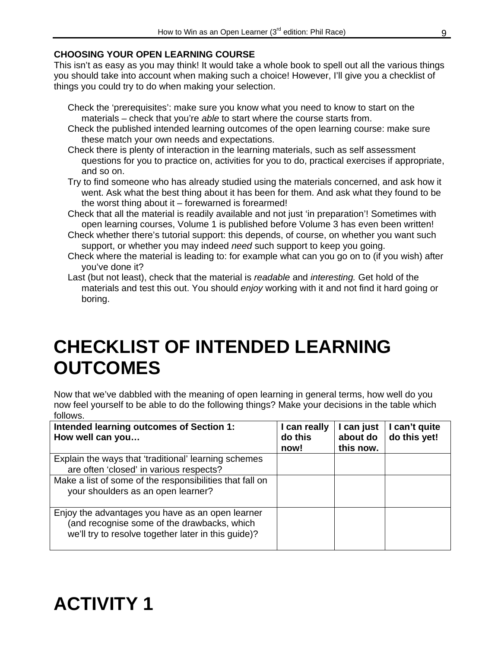#### **CHOOSING YOUR OPEN LEARNING COURSE**

This isn't as easy as you may think! It would take a whole book to spell out all the various things you should take into account when making such a choice! However, I'll give you a checklist of things you could try to do when making your selection.

- Check the 'prerequisites': make sure you know what you need to know to start on the materials – check that you're *able* to start where the course starts from.
- Check the published intended learning outcomes of the open learning course: make sure these match your own needs and expectations.
- Check there is plenty of interaction in the learning materials, such as self assessment questions for you to practice on, activities for you to do, practical exercises if appropriate, and so on.
- Try to find someone who has already studied using the materials concerned, and ask how it went. Ask what the best thing about it has been for them. And ask what they found to be the worst thing about it – forewarned is forearmed!
- Check that all the material is readily available and not just 'in preparation'! Sometimes with open learning courses, Volume 1 is published before Volume 3 has even been written!
- Check whether there's tutorial support: this depends, of course, on whether you want such support, or whether you may indeed *need* such support to keep you going.
- Check where the material is leading to: for example what can you go on to (if you wish) after you've done it?
- Last (but not least), check that the material is *readable* and *interesting.* Get hold of the materials and test this out. You should *enjoy* working with it and not find it hard going or boring.

### **CHECKLIST OF INTENDED LEARNING OUTCOMES**

Now that we've dabbled with the meaning of open learning in general terms, how well do you now feel yourself to be able to do the following things? Make your decisions in the table which follows.

| Intended learning outcomes of Section 1:<br>How well can you                                                                                           | I can really<br>do this<br>now! | I can just<br>about do<br>this now. | I can't quite<br>do this yet! |
|--------------------------------------------------------------------------------------------------------------------------------------------------------|---------------------------------|-------------------------------------|-------------------------------|
| Explain the ways that 'traditional' learning schemes<br>are often 'closed' in various respects?                                                        |                                 |                                     |                               |
| Make a list of some of the responsibilities that fall on<br>your shoulders as an open learner?                                                         |                                 |                                     |                               |
| Enjoy the advantages you have as an open learner<br>(and recognise some of the drawbacks, which<br>we'll try to resolve together later in this guide)? |                                 |                                     |                               |

### **ACTIVITY 1**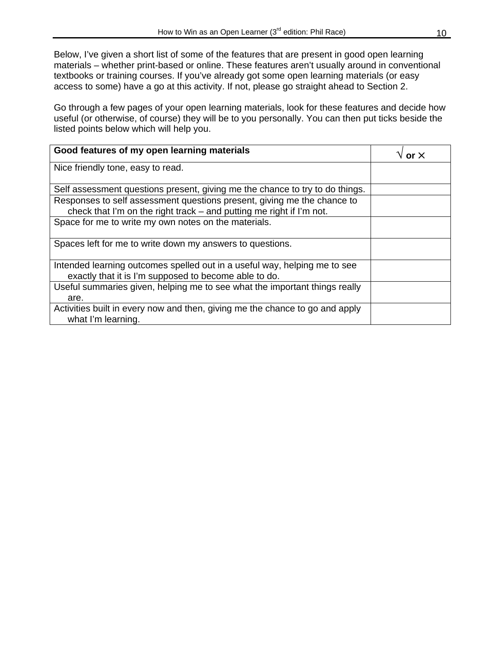Below, I've given a short list of some of the features that are present in good open learning materials – whether print-based or online. These features aren't usually around in conventional textbooks or training courses. If you've already got some open learning materials (or easy access to some) have a go at this activity. If not, please go straight ahead to Section 2.

Go through a few pages of your open learning materials, look for these features and decide how useful (or otherwise, of course) they will be to you personally. You can then put ticks beside the listed points below which will help you.

| Good features of my open learning materials                                                                                                     | nr X |
|-------------------------------------------------------------------------------------------------------------------------------------------------|------|
| Nice friendly tone, easy to read.                                                                                                               |      |
| Self assessment questions present, giving me the chance to try to do things.                                                                    |      |
| Responses to self assessment questions present, giving me the chance to<br>check that I'm on the right track – and putting me right if I'm not. |      |
| Space for me to write my own notes on the materials.                                                                                            |      |
| Spaces left for me to write down my answers to questions.                                                                                       |      |
| Intended learning outcomes spelled out in a useful way, helping me to see<br>exactly that it is I'm supposed to become able to do.              |      |
| Useful summaries given, helping me to see what the important things really<br>are.                                                              |      |
| Activities built in every now and then, giving me the chance to go and apply<br>what I'm learning.                                              |      |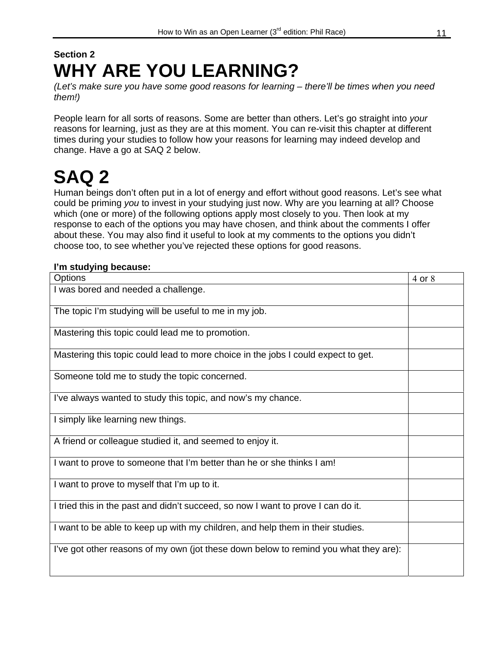### **Section 2 WHY ARE YOU LEARNING?**

*(Let's make sure you have some good reasons for learning – there'll be times when you need them!)* 

People learn for all sorts of reasons. Some are better than others. Let's go straight into *your* reasons for learning, just as they are at this moment. You can re-visit this chapter at different times during your studies to follow how your reasons for learning may indeed develop and change. Have a go at SAQ 2 below.

## **SAQ 2**

Human beings don't often put in a lot of energy and effort without good reasons. Let's see what could be priming *you* to invest in your studying just now. Why are you learning at all? Choose which (one or more) of the following options apply most closely to you. Then look at my response to each of the options you may have chosen, and think about the comments I offer about these. You may also find it useful to look at my comments to the options you didn't choose too, to see whether you've rejected these options for good reasons.

#### **I'm studying because:**

| <b>Options</b>                                                                       | 4 or 8 |
|--------------------------------------------------------------------------------------|--------|
| I was bored and needed a challenge.                                                  |        |
| The topic I'm studying will be useful to me in my job.                               |        |
| Mastering this topic could lead me to promotion.                                     |        |
| Mastering this topic could lead to more choice in the jobs I could expect to get.    |        |
| Someone told me to study the topic concerned.                                        |        |
| I've always wanted to study this topic, and now's my chance.                         |        |
| I simply like learning new things.                                                   |        |
| A friend or colleague studied it, and seemed to enjoy it.                            |        |
| I want to prove to someone that I'm better than he or she thinks I am!               |        |
| I want to prove to myself that I'm up to it.                                         |        |
| I tried this in the past and didn't succeed, so now I want to prove I can do it.     |        |
| I want to be able to keep up with my children, and help them in their studies.       |        |
| I've got other reasons of my own (jot these down below to remind you what they are): |        |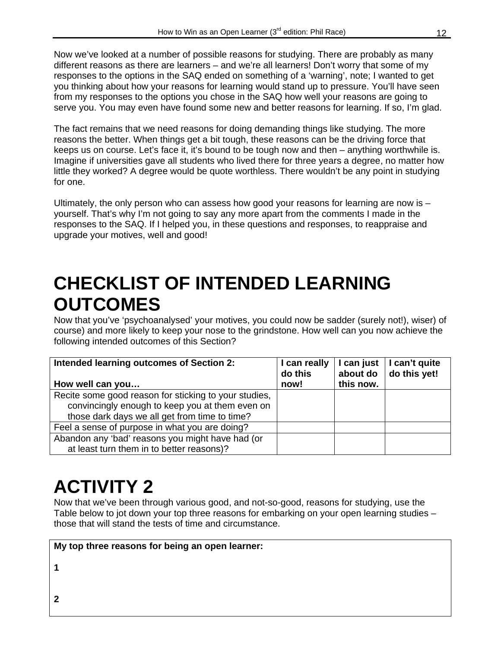Now we've looked at a number of possible reasons for studying. There are probably as many different reasons as there are learners – and we're all learners! Don't worry that some of my responses to the options in the SAQ ended on something of a 'warning', note; I wanted to get you thinking about how your reasons for learning would stand up to pressure. You'll have seen from my responses to the options you chose in the SAQ how well your reasons are going to serve you. You may even have found some new and better reasons for learning. If so, I'm glad.

The fact remains that we need reasons for doing demanding things like studying. The more reasons the better. When things get a bit tough, these reasons can be the driving force that keeps us on course. Let's face it, it's bound to be tough now and then – anything worthwhile is. Imagine if universities gave all students who lived there for three years a degree, no matter how little they worked? A degree would be quote worthless. There wouldn't be any point in studying for one.

Ultimately, the only person who can assess how good your reasons for learning are now is  $$ yourself. That's why I'm not going to say any more apart from the comments I made in the responses to the SAQ. If I helped you, in these questions and responses, to reappraise and upgrade your motives, well and good!

### **CHECKLIST OF INTENDED LEARNING OUTCOMES**

Now that you've 'psychoanalysed' your motives, you could now be sadder (surely not!), wiser) of course) and more likely to keep your nose to the grindstone. How well can you now achieve the following intended outcomes of this Section?

| Intended learning outcomes of Section 2:              | I can really<br>do this<br>now! | I can just<br>about do<br>this now. | I can't quite<br>do this yet! |
|-------------------------------------------------------|---------------------------------|-------------------------------------|-------------------------------|
| How well can you                                      |                                 |                                     |                               |
| Recite some good reason for sticking to your studies, |                                 |                                     |                               |
| convincingly enough to keep you at them even on       |                                 |                                     |                               |
| those dark days we all get from time to time?         |                                 |                                     |                               |
| Feel a sense of purpose in what you are doing?        |                                 |                                     |                               |
| Abandon any 'bad' reasons you might have had (or      |                                 |                                     |                               |
| at least turn them in to better reasons)?             |                                 |                                     |                               |

## **ACTIVITY 2**

Now that we've been through various good, and not-so-good, reasons for studying, use the Table below to jot down your top three reasons for embarking on your open learning studies – those that will stand the tests of time and circumstance.

**My top three reasons for being an open learner:** 

**1** 

**2**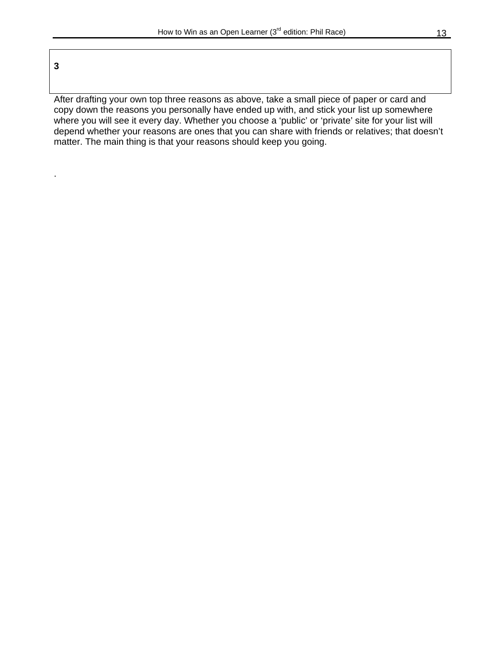**3** 

.

After drafting your own top three reasons as above, take a small piece of paper or card and copy down the reasons you personally have ended up with, and stick your list up somewhere where you will see it every day. Whether you choose a 'public' or 'private' site for your list will depend whether your reasons are ones that you can share with friends or relatives; that doesn't matter. The main thing is that your reasons should keep you going.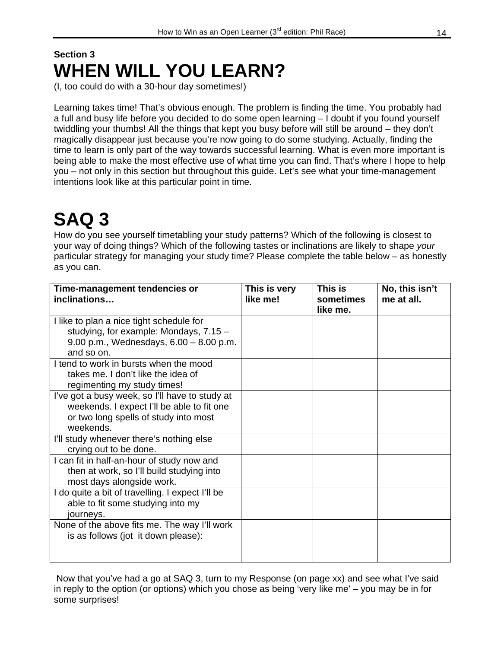### **Section 3 WHEN WILL YOU LEARN?**

(I, too could do with a 30-hour day sometimes!)

Learning takes time! That's obvious enough. The problem is finding the time. You probably had a full and busy life before you decided to do some open learning – I doubt if you found yourself twiddling your thumbs! All the things that kept you busy before will still be around – they don't magically disappear just because you're now going to do some studying. Actually, finding the time to learn is only part of the way towards successful learning. What is even more important is being able to make the most effective use of what time you can find. That's where I hope to help you – not only in this section but throughout this guide. Let's see what your time-management intentions look like at this particular point in time.

## **SAQ 3**

How do you see yourself timetabling your study patterns? Which of the following is closest to your way of doing things? Which of the following tastes or inclinations are likely to shape *your* particular strategy for managing your study time? Please complete the table below – as honestly as you can.

| Time-management tendencies or<br>inclinations                                                                                                      | This is very<br>like me! | This is<br>sometimes<br>like me. | No, this isn't<br>me at all. |
|----------------------------------------------------------------------------------------------------------------------------------------------------|--------------------------|----------------------------------|------------------------------|
| I like to plan a nice tight schedule for<br>studying, for example: Mondays, 7.15 -<br>9.00 p.m., Wednesdays, $6.00 - 8.00$ p.m.                    |                          |                                  |                              |
| and so on.<br>I tend to work in bursts when the mood<br>takes me. I don't like the idea of<br>regimenting my study times!                          |                          |                                  |                              |
| I've got a busy week, so I'll have to study at<br>weekends. I expect I'll be able to fit one<br>or two long spells of study into most<br>weekends. |                          |                                  |                              |
| I'll study whenever there's nothing else<br>crying out to be done.                                                                                 |                          |                                  |                              |
| I can fit in half-an-hour of study now and<br>then at work, so I'll build studying into<br>most days alongside work.                               |                          |                                  |                              |
| I do quite a bit of travelling. I expect I'll be<br>able to fit some studying into my<br>journeys.                                                 |                          |                                  |                              |
| None of the above fits me. The way I'll work<br>is as follows (jot it down please):                                                                |                          |                                  |                              |

 Now that you've had a go at SAQ 3, turn to my Response (on page xx) and see what I've said in reply to the option (or options) which you chose as being 'very like me' – you may be in for some surprises!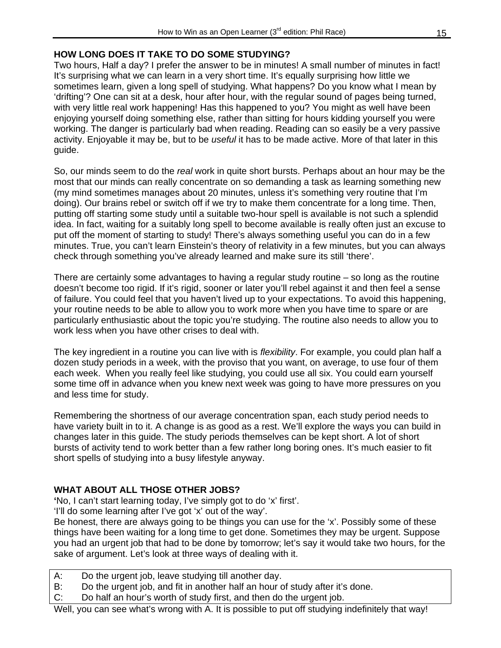#### **HOW LONG DOES IT TAKE TO DO SOME STUDYING?**

Two hours, Half a day? I prefer the answer to be in minutes! A small number of minutes in fact! It's surprising what we can learn in a very short time. It's equally surprising how little we sometimes learn, given a long spell of studying. What happens? Do you know what I mean by 'drifting'? One can sit at a desk, hour after hour, with the regular sound of pages being turned, with very little real work happening! Has this happened to you? You might as well have been enjoying yourself doing something else, rather than sitting for hours kidding yourself you were working. The danger is particularly bad when reading. Reading can so easily be a very passive activity. Enjoyable it may be, but to be *useful* it has to be made active. More of that later in this guide.

So, our minds seem to do the *real* work in quite short bursts. Perhaps about an hour may be the most that our minds can really concentrate on so demanding a task as learning something new (my mind sometimes manages about 20 minutes, unless it's something very routine that I'm doing). Our brains rebel or switch off if we try to make them concentrate for a long time. Then, putting off starting some study until a suitable two-hour spell is available is not such a splendid idea. In fact, waiting for a suitably long spell to become available is really often just an excuse to put off the moment of starting to study! There's always something useful you can do in a few minutes. True, you can't learn Einstein's theory of relativity in a few minutes, but you can always check through something you've already learned and make sure its still 'there'.

There are certainly some advantages to having a regular study routine – so long as the routine doesn't become too rigid. If it's rigid, sooner or later you'll rebel against it and then feel a sense of failure. You could feel that you haven't lived up to your expectations. To avoid this happening, your routine needs to be able to allow you to work more when you have time to spare or are particularly enthusiastic about the topic you're studying. The routine also needs to allow you to work less when you have other crises to deal with.

The key ingredient in a routine you can live with is *flexibility*. For example, you could plan half a dozen study periods in a week, with the proviso that you want, on average, to use four of them each week. When you really feel like studying, you could use all six. You could earn yourself some time off in advance when you knew next week was going to have more pressures on you and less time for study.

Remembering the shortness of our average concentration span, each study period needs to have variety built in to it. A change is as good as a rest. We'll explore the ways you can build in changes later in this guide. The study periods themselves can be kept short. A lot of short bursts of activity tend to work better than a few rather long boring ones. It's much easier to fit short spells of studying into a busy lifestyle anyway.

#### **WHAT ABOUT ALL THOSE OTHER JOBS?**

**'**No, I can't start learning today, I've simply got to do 'x' first'.

'I'll do some learning after I've got 'x' out of the way'.

Be honest, there are always going to be things you can use for the 'x'. Possibly some of these things have been waiting for a long time to get done. Sometimes they may be urgent. Suppose you had an urgent job that had to be done by tomorrow; let's say it would take two hours, for the sake of argument. Let's look at three ways of dealing with it.

- A: Do the urgent job, leave studying till another day.
- B: Do the urgent job, and fit in another half an hour of study after it's done.
- C: Do half an hour's worth of study first, and then do the urgent job.

Well, you can see what's wrong with A. It is possible to put off studying indefinitely that way!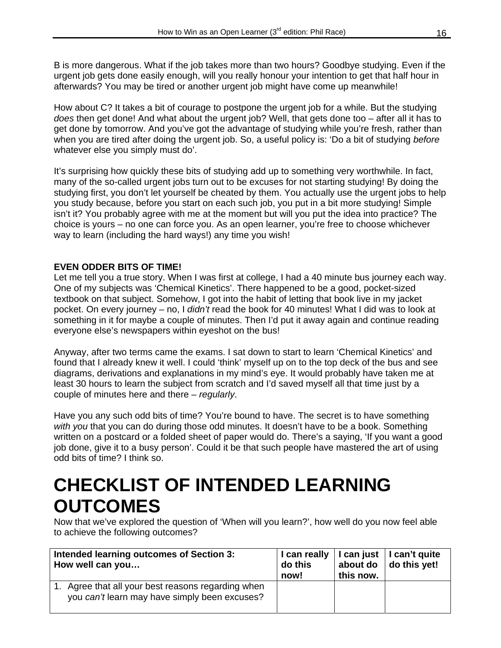B is more dangerous. What if the job takes more than two hours? Goodbye studying. Even if the urgent job gets done easily enough, will you really honour your intention to get that half hour in afterwards? You may be tired or another urgent job might have come up meanwhile!

How about C? It takes a bit of courage to postpone the urgent job for a while. But the studying *does* then get done! And what about the urgent job? Well, that gets done too – after all it has to get done by tomorrow. And you've got the advantage of studying while you're fresh, rather than when you are tired after doing the urgent job. So, a useful policy is: 'Do a bit of studying *before* whatever else you simply must do'.

It's surprising how quickly these bits of studying add up to something very worthwhile. In fact, many of the so-called urgent jobs turn out to be excuses for not starting studying! By doing the studying first, you don't let yourself be cheated by them. You actually use the urgent jobs to help you study because, before you start on each such job, you put in a bit more studying! Simple isn't it? You probably agree with me at the moment but will you put the idea into practice? The choice is yours – no one can force you. As an open learner, you're free to choose whichever way to learn (including the hard ways!) any time you wish!

#### **EVEN ODDER BITS OF TIME!**

Let me tell you a true story. When I was first at college, I had a 40 minute bus journey each way. One of my subjects was 'Chemical Kinetics'. There happened to be a good, pocket-sized textbook on that subject. Somehow, I got into the habit of letting that book live in my jacket pocket. On every journey – no, I *didn't* read the book for 40 minutes! What I did was to look at something in it for maybe a couple of minutes. Then I'd put it away again and continue reading everyone else's newspapers within eyeshot on the bus!

Anyway, after two terms came the exams. I sat down to start to learn 'Chemical Kinetics' and found that I already knew it well. I could 'think' myself up on to the top deck of the bus and see diagrams, derivations and explanations in my mind's eye. It would probably have taken me at least 30 hours to learn the subject from scratch and I'd saved myself all that time just by a couple of minutes here and there – *regularly*.

Have you any such odd bits of time? You're bound to have. The secret is to have something *with you* that you can do during those odd minutes. It doesn't have to be a book. Something written on a postcard or a folded sheet of paper would do. There's a saying, 'If you want a good job done, give it to a busy person'. Could it be that such people have mastered the art of using odd bits of time? I think so.

### **CHECKLIST OF INTENDED LEARNING OUTCOMES**

Now that we've explored the question of 'When will you learn?', how well do you now feel able to achieve the following outcomes?

| Intended learning outcomes of Section 3:                                                            | do this | this now. | I can really   I can just   I can't quite |
|-----------------------------------------------------------------------------------------------------|---------|-----------|-------------------------------------------|
| How well can you                                                                                    | now!    |           | about do $ $ do this yet!                 |
| 1. Agree that all your best reasons regarding when<br>you can't learn may have simply been excuses? |         |           |                                           |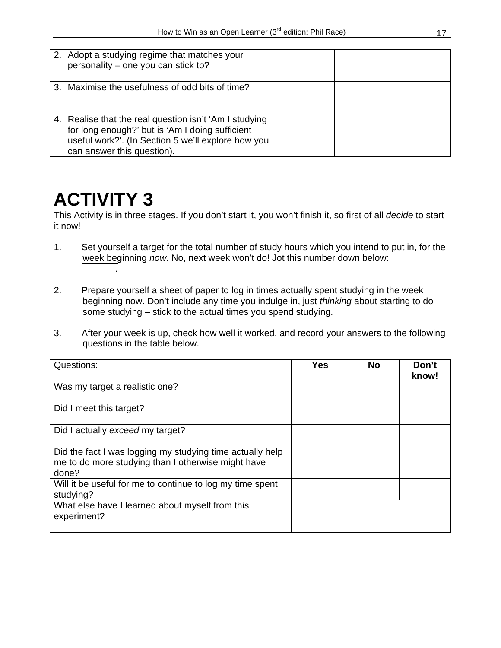| 2. Adopt a studying regime that matches your<br>personality - one you can stick to?                                                                                                           |  |  |
|-----------------------------------------------------------------------------------------------------------------------------------------------------------------------------------------------|--|--|
| 3. Maximise the usefulness of odd bits of time?                                                                                                                                               |  |  |
| 4. Realise that the real question isn't 'Am I studying<br>for long enough?' but is 'Am I doing sufficient<br>useful work?'. (In Section 5 we'll explore how you<br>can answer this question). |  |  |

### **ACTIVITY 3**

This Activity is in three stages. If you don't start it, you won't finish it, so first of all *decide* to start it now!

- 1. Set yourself a target for the total number of study hours which you intend to put in, for the week beginning *now.* No, next week won't do! Jot this number down below: .
- 2. Prepare yourself a sheet of paper to log in times actually spent studying in the week beginning now. Don't include any time you indulge in, just *thinking* about starting to do some studying – stick to the actual times you spend studying.
- 3. After your week is up, check how well it worked, and record your answers to the following questions in the table below.

| Questions:                                                                                                               | <b>Yes</b> | <b>No</b> | Don't<br>know! |
|--------------------------------------------------------------------------------------------------------------------------|------------|-----------|----------------|
| Was my target a realistic one?                                                                                           |            |           |                |
| Did I meet this target?                                                                                                  |            |           |                |
| Did I actually exceed my target?                                                                                         |            |           |                |
| Did the fact I was logging my studying time actually help<br>me to do more studying than I otherwise might have<br>done? |            |           |                |
| Will it be useful for me to continue to log my time spent<br>studying?                                                   |            |           |                |
| What else have I learned about myself from this<br>experiment?                                                           |            |           |                |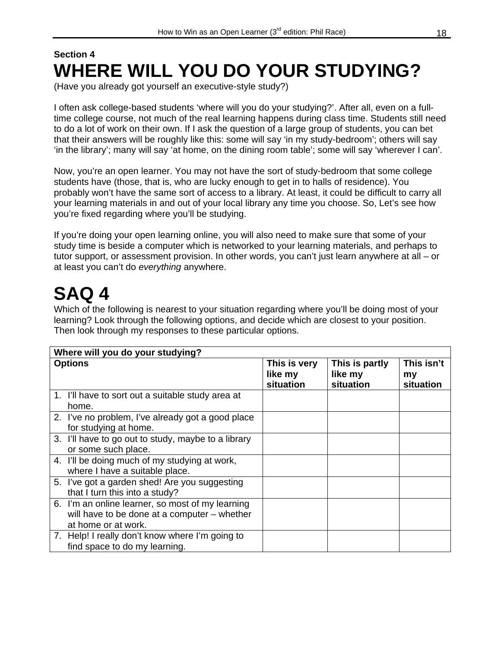### **Section 4 WHERE WILL YOU DO YOUR STUDYING?**

(Have you already got yourself an executive-style study?)

I often ask college-based students 'where will you do your studying?'. After all, even on a fulltime college course, not much of the real learning happens during class time. Students still need to do a lot of work on their own. If I ask the question of a large group of students, you can bet that their answers will be roughly like this: some will say 'in my study-bedroom'; others will say 'in the library'; many will say 'at home, on the dining room table'; some will say 'wherever I can'.

Now, you're an open learner. You may not have the sort of study-bedroom that some college students have (those, that is, who are lucky enough to get in to halls of residence). You probably won't have the same sort of access to a library. At least, it could be difficult to carry all your learning materials in and out of your local library any time you choose. So, Let's see how you're fixed regarding where you'll be studying.

If you're doing your open learning online, you will also need to make sure that some of your study time is beside a computer which is networked to your learning materials, and perhaps to tutor support, or assessment provision. In other words, you can't just learn anywhere at all – or at least you can't do *everything* anywhere.

### **SAQ 4**

Which of the following is nearest to your situation regarding where you'll be doing most of your learning? Look through the following options, and decide which are closest to your position. Then look through my responses to these particular options.

| Where will you do your studying?                                                                                        |                                      |                                        |                               |  |  |  |
|-------------------------------------------------------------------------------------------------------------------------|--------------------------------------|----------------------------------------|-------------------------------|--|--|--|
| <b>Options</b>                                                                                                          | This is very<br>like my<br>situation | This is partly<br>like my<br>situation | This isn't<br>my<br>situation |  |  |  |
| 1. I'll have to sort out a suitable study area at<br>home.                                                              |                                      |                                        |                               |  |  |  |
| 2. I've no problem, I've already got a good place<br>for studying at home.                                              |                                      |                                        |                               |  |  |  |
| 3. I'll have to go out to study, maybe to a library<br>or some such place.                                              |                                      |                                        |                               |  |  |  |
| 4. I'll be doing much of my studying at work,<br>where I have a suitable place.                                         |                                      |                                        |                               |  |  |  |
| 5. I've got a garden shed! Are you suggesting<br>that I turn this into a study?                                         |                                      |                                        |                               |  |  |  |
| 6. I'm an online learner, so most of my learning<br>will have to be done at a computer - whether<br>at home or at work. |                                      |                                        |                               |  |  |  |
| 7. Help! I really don't know where I'm going to<br>find space to do my learning.                                        |                                      |                                        |                               |  |  |  |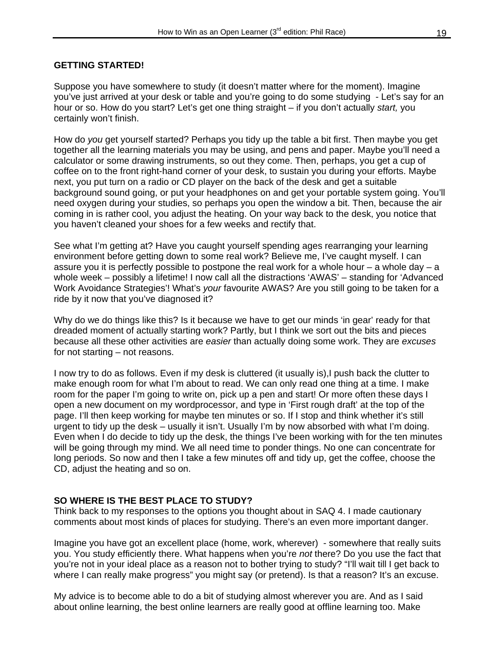#### **GETTING STARTED!**

Suppose you have somewhere to study (it doesn't matter where for the moment). Imagine you've just arrived at your desk or table and you're going to do some studying - Let's say for an hour or so. How do you start? Let's get one thing straight – if you don't actually *start,* you certainly won't finish.

How do *you* get yourself started? Perhaps you tidy up the table a bit first. Then maybe you get together all the learning materials you may be using, and pens and paper. Maybe you'll need a calculator or some drawing instruments, so out they come. Then, perhaps, you get a cup of coffee on to the front right-hand corner of your desk, to sustain you during your efforts. Maybe next, you put turn on a radio or CD player on the back of the desk and get a suitable background sound going, or put your headphones on and get your portable system going. You'll need oxygen during your studies, so perhaps you open the window a bit. Then, because the air coming in is rather cool, you adjust the heating. On your way back to the desk, you notice that you haven't cleaned your shoes for a few weeks and rectify that.

See what I'm getting at? Have you caught yourself spending ages rearranging your learning environment before getting down to some real work? Believe me, I've caught myself. I can assure you it is perfectly possible to postpone the real work for a whole hour – a whole day – a whole week – possibly a lifetime! I now call all the distractions 'AWAS' – standing for 'Advanced Work Avoidance Strategies'! What's *your* favourite AWAS? Are you still going to be taken for a ride by it now that you've diagnosed it?

Why do we do things like this? Is it because we have to get our minds 'in gear' ready for that dreaded moment of actually starting work? Partly, but I think we sort out the bits and pieces because all these other activities are *easier* than actually doing some work. They are *excuses* for not starting – not reasons.

I now try to do as follows. Even if my desk is cluttered (it usually is),I push back the clutter to make enough room for what I'm about to read. We can only read one thing at a time. I make room for the paper I'm going to write on, pick up a pen and start! Or more often these days I open a new document on my wordprocessor, and type in 'First rough draft' at the top of the page. I'll then keep working for maybe ten minutes or so. If I stop and think whether it's still urgent to tidy up the desk – usually it isn't. Usually I'm by now absorbed with what I'm doing. Even when I do decide to tidy up the desk, the things I've been working with for the ten minutes will be going through my mind. We all need time to ponder things. No one can concentrate for long periods. So now and then I take a few minutes off and tidy up, get the coffee, choose the CD, adjust the heating and so on.

#### **SO WHERE IS THE BEST PLACE TO STUDY?**

Think back to my responses to the options you thought about in SAQ 4. I made cautionary comments about most kinds of places for studying. There's an even more important danger.

Imagine you have got an excellent place (home, work, wherever) - somewhere that really suits you. You study efficiently there. What happens when you're *not* there? Do you use the fact that you're not in your ideal place as a reason not to bother trying to study? "I'll wait till I get back to where I can really make progress" you might say (or pretend). Is that a reason? It's an excuse.

My advice is to become able to do a bit of studying almost wherever you are. And as I said about online learning, the best online learners are really good at offline learning too. Make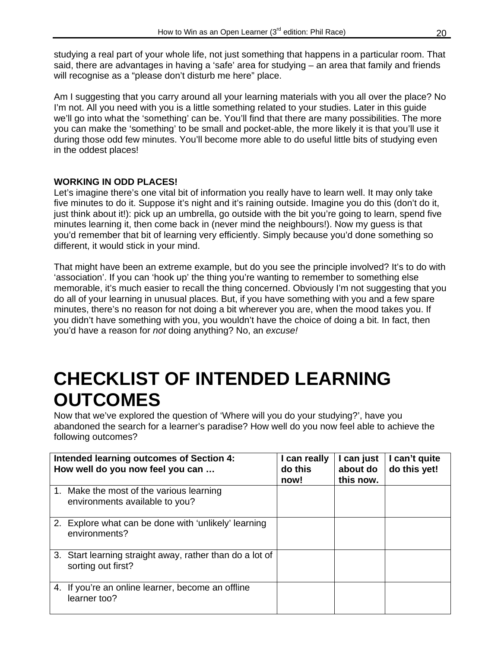studying a real part of your whole life, not just something that happens in a particular room. That said, there are advantages in having a 'safe' area for studying – an area that family and friends will recognise as a "please don't disturb me here" place.

Am I suggesting that you carry around all your learning materials with you all over the place? No I'm not. All you need with you is a little something related to your studies. Later in this guide we'll go into what the 'something' can be. You'll find that there are many possibilities. The more you can make the 'something' to be small and pocket-able, the more likely it is that you'll use it during those odd few minutes. You'll become more able to do useful little bits of studying even in the oddest places!

#### **WORKING IN ODD PLACES!**

Let's imagine there's one vital bit of information you really have to learn well. It may only take five minutes to do it. Suppose it's night and it's raining outside. Imagine you do this (don't do it, just think about it!): pick up an umbrella, go outside with the bit you're going to learn, spend five minutes learning it, then come back in (never mind the neighbours!). Now my guess is that you'd remember that bit of learning very efficiently. Simply because you'd done something so different, it would stick in your mind.

That might have been an extreme example, but do you see the principle involved? It's to do with 'association'. If you can 'hook up' the thing you're wanting to remember to something else memorable, it's much easier to recall the thing concerned. Obviously I'm not suggesting that you do all of your learning in unusual places. But, if you have something with you and a few spare minutes, there's no reason for not doing a bit wherever you are, when the mood takes you. If you didn't have something with you, you wouldn't have the choice of doing a bit. In fact, then you'd have a reason for *not* doing anything? No, an *excuse!* 

### **CHECKLIST OF INTENDED LEARNING OUTCOMES**

Now that we've explored the question of 'Where will you do your studying?', have you abandoned the search for a learner's paradise? How well do you now feel able to achieve the following outcomes?

| Intended learning outcomes of Section 4:<br>How well do you now feel you can   | I can really<br>do this<br>now! | I can just<br>about do<br>this now. | I can't quite<br>do this yet! |
|--------------------------------------------------------------------------------|---------------------------------|-------------------------------------|-------------------------------|
| 1. Make the most of the various learning<br>environments available to you?     |                                 |                                     |                               |
| 2. Explore what can be done with 'unlikely' learning<br>environments?          |                                 |                                     |                               |
| 3. Start learning straight away, rather than do a lot of<br>sorting out first? |                                 |                                     |                               |
| 4. If you're an online learner, become an offline<br>learner too?              |                                 |                                     |                               |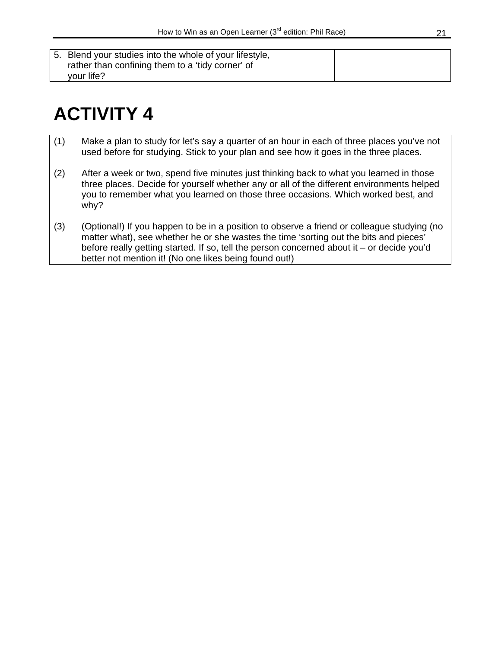| 5. Blend your studies into the whole of your lifestyle,<br>rather than confining them to a 'tidy corner' of<br>your life? |  |  |  |
|---------------------------------------------------------------------------------------------------------------------------|--|--|--|
|---------------------------------------------------------------------------------------------------------------------------|--|--|--|

## **ACTIVITY 4**

- (1) Make a plan to study for let's say a quarter of an hour in each of three places you've not used before for studying. Stick to your plan and see how it goes in the three places.
- (2) After a week or two, spend five minutes just thinking back to what you learned in those three places. Decide for yourself whether any or all of the different environments helped you to remember what you learned on those three occasions. Which worked best, and why?
- (3) (Optional!) If you happen to be in a position to observe a friend or colleague studying (no matter what), see whether he or she wastes the time 'sorting out the bits and pieces' before really getting started. If so, tell the person concerned about it – or decide you'd better not mention it! (No one likes being found out!)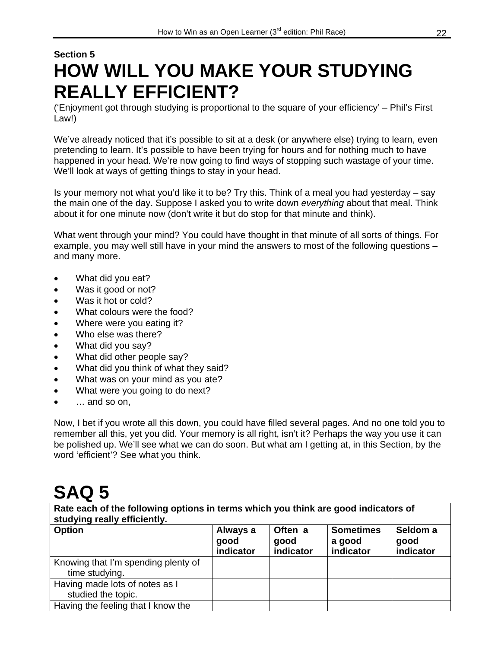### **Section 5 HOW WILL YOU MAKE YOUR STUDYING REALLY EFFICIENT?**

('Enjoyment got through studying is proportional to the square of your efficiency' – Phil's First Law!)

We've already noticed that it's possible to sit at a desk (or anywhere else) trying to learn, even pretending to learn. It's possible to have been trying for hours and for nothing much to have happened in your head. We're now going to find ways of stopping such wastage of your time. We'll look at ways of getting things to stay in your head.

Is your memory not what you'd like it to be? Try this. Think of a meal you had yesterday – say the main one of the day. Suppose I asked you to write down *everything* about that meal. Think about it for one minute now (don't write it but do stop for that minute and think).

What went through your mind? You could have thought in that minute of all sorts of things. For example, you may well still have in your mind the answers to most of the following questions – and many more.

- What did you eat?
- Was it good or not?
- Was it hot or cold?
- What colours were the food?
- Where were you eating it?
- Who else was there?
- What did you say?
- What did other people say?
- What did you think of what they said?
- What was on your mind as you ate?
- What were you going to do next?
- $\ldots$  and so on,

Now, I bet if you wrote all this down, you could have filled several pages. And no one told you to remember all this, yet you did. Your memory is all right, isn't it? Perhaps the way you use it can be polished up. We'll see what we can do soon. But what am I getting at, in this Section, by the word 'efficient'? See what you think.

### **SAQ 5**

**Rate each of the following options in terms which you think are good indicators of studying really efficiently.** 

| <b>Option</b>                                         | Always a<br>good<br>indicator | Often a<br>good<br>indicator | <b>Sometimes</b><br>a good<br>indicator | Seldom a<br>good<br>indicator |
|-------------------------------------------------------|-------------------------------|------------------------------|-----------------------------------------|-------------------------------|
| Knowing that I'm spending plenty of<br>time studying. |                               |                              |                                         |                               |
| Having made lots of notes as I<br>studied the topic.  |                               |                              |                                         |                               |
| Having the feeling that I know the                    |                               |                              |                                         |                               |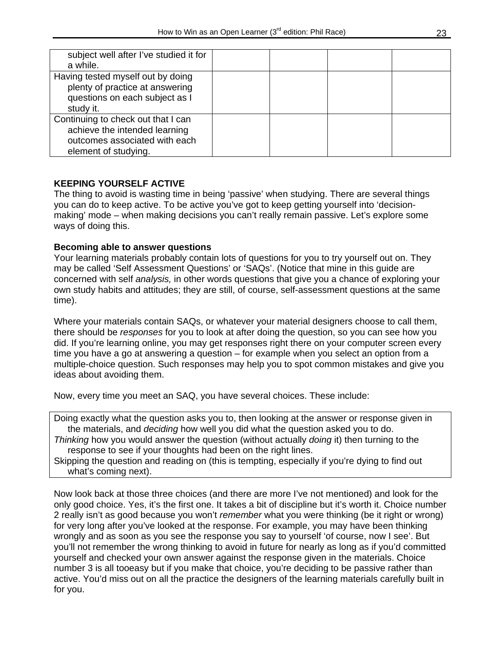| subject well after I've studied it for<br>a while.                                                                           |  |  |
|------------------------------------------------------------------------------------------------------------------------------|--|--|
| Having tested myself out by doing<br>plenty of practice at answering<br>questions on each subject as I<br>study it.          |  |  |
| Continuing to check out that I can<br>achieve the intended learning<br>outcomes associated with each<br>element of studying. |  |  |

#### **KEEPING YOURSELF ACTIVE**

The thing to avoid is wasting time in being 'passive' when studying. There are several things you can do to keep active. To be active you've got to keep getting yourself into 'decisionmaking' mode – when making decisions you can't really remain passive. Let's explore some ways of doing this.

#### **Becoming able to answer questions**

Your learning materials probably contain lots of questions for you to try yourself out on. They may be called 'Self Assessment Questions' or 'SAQs'. (Notice that mine in this guide are concerned with self *analysis,* in other words questions that give you a chance of exploring your own study habits and attitudes; they are still, of course, self-assessment questions at the same time).

Where your materials contain SAQs, or whatever your material designers choose to call them, there should be *responses* for you to look at after doing the question, so you can see how you did. If you're learning online, you may get responses right there on your computer screen every time you have a go at answering a question – for example when you select an option from a multiple-choice question. Such responses may help you to spot common mistakes and give you ideas about avoiding them.

Now, every time you meet an SAQ, you have several choices. These include:

Doing exactly what the question asks you to, then looking at the answer or response given in the materials, and *deciding* how well you did what the question asked you to do. *Thinking* how you would answer the question (without actually *doing* it) then turning to the response to see if your thoughts had been on the right lines.

Skipping the question and reading on (this is tempting, especially if you're dying to find out what's coming next).

Now look back at those three choices (and there are more I've not mentioned) and look for the only good choice. Yes, it's the first one. It takes a bit of discipline but it's worth it. Choice number 2 really isn't as good because you won't *remember* what you were thinking (be it right or wrong) for very long after you've looked at the response. For example, you may have been thinking wrongly and as soon as you see the response you say to yourself 'of course, now I see'. But you'll not remember the wrong thinking to avoid in future for nearly as long as if you'd committed yourself and checked your own answer against the response given in the materials. Choice number 3 is all tooeasy but if you make that choice, you're deciding to be passive rather than active. You'd miss out on all the practice the designers of the learning materials carefully built in for you.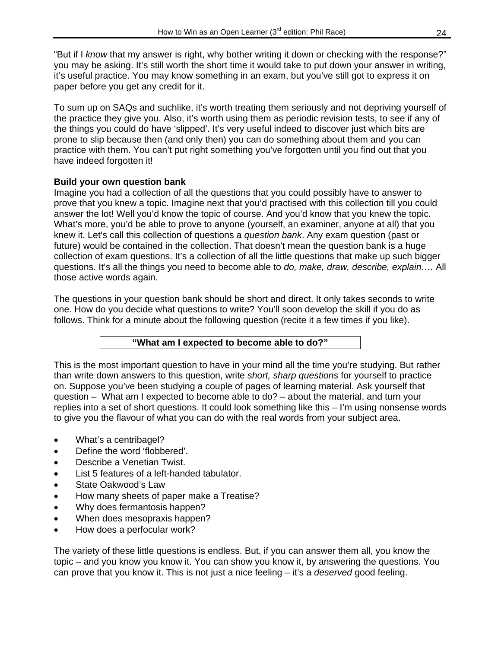"But if I *know* that my answer is right, why bother writing it down or checking with the response?" you may be asking. It's still worth the short time it would take to put down your answer in writing, it's useful practice. You may know something in an exam, but you've still got to express it on paper before you get any credit for it.

To sum up on SAQs and suchlike, it's worth treating them seriously and not depriving yourself of the practice they give you. Also, it's worth using them as periodic revision tests, to see if any of the things you could do have 'slipped'. It's very useful indeed to discover just which bits are prone to slip because then (and only then) you can do something about them and you can practice with them. You can't put right something you've forgotten until you find out that you have indeed forgotten it!

#### **Build your own question bank**

Imagine you had a collection of all the questions that you could possibly have to answer to prove that you knew a topic. Imagine next that you'd practised with this collection till you could answer the lot! Well you'd know the topic of course. And you'd know that you knew the topic. What's more, you'd be able to prove to anyone (yourself, an examiner, anyone at all) that you knew it. Let's call this collection of questions a *question bank*. Any exam question (past or future) would be contained in the collection. That doesn't mean the question bank is a huge collection of exam questions. It's a collection of all the little questions that make up such bigger questions. It's all the things you need to become able to *do, make, draw, describe, explain….* All those active words again.

The questions in your question bank should be short and direct. It only takes seconds to write one. How do you decide what questions to write? You'll soon develop the skill if you do as follows. Think for a minute about the following question (recite it a few times if you like).

#### **"What am I expected to become able to do?"**

This is the most important question to have in your mind all the time you're studying. But rather than write down answers to this question, write *short, sharp questions* for yourself to practice on. Suppose you've been studying a couple of pages of learning material. Ask yourself that question –What am I expected to become able to do? – about the material, and turn your replies into a set of short questions. It could look something like this – I'm using nonsense words to give you the flavour of what you can do with the real words from your subject area.

- What's a centribagel?
- Define the word 'flobbered'.
- Describe a Venetian Twist.
- List 5 features of a left-handed tabulator.
- State Oakwood's Law
- How many sheets of paper make a Treatise?
- Why does fermantosis happen?
- When does mesopraxis happen?
- How does a perfocular work?

The variety of these little questions is endless. But, if you can answer them all, you know the topic – and you know you know it. You can show you know it, by answering the questions. You can prove that you know it. This is not just a nice feeling – it's a *deserved* good feeling.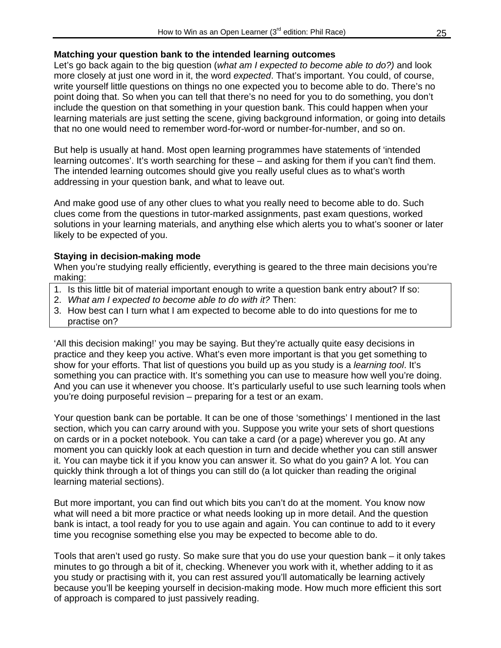#### **Matching your question bank to the intended learning outcomes**

Let's go back again to the big question (*what am I expected to become able to do?)* and look more closely at just one word in it, the word *expected*. That's important. You could, of course, write yourself little questions on things no one expected you to become able to do. There's no point doing that. So when you can tell that there's no need for you to do something, you don't include the question on that something in your question bank. This could happen when your learning materials are just setting the scene, giving background information, or going into details that no one would need to remember word-for-word or number-for-number, and so on.

But help is usually at hand. Most open learning programmes have statements of 'intended learning outcomes'. It's worth searching for these – and asking for them if you can't find them. The intended learning outcomes should give you really useful clues as to what's worth addressing in your question bank, and what to leave out.

And make good use of any other clues to what you really need to become able to do. Such clues come from the questions in tutor-marked assignments, past exam questions, worked solutions in your learning materials, and anything else which alerts you to what's sooner or later likely to be expected of you.

#### **Staying in decision-making mode**

When you're studying really efficiently, everything is geared to the three main decisions you're making:

- 1. Is this little bit of material important enough to write a question bank entry about? If so:
- 2. *What am I expected to become able to do with it?* Then:
- 3. How best can I turn what I am expected to become able to do into questions for me to practise on?

'All this decision making!' you may be saying. But they're actually quite easy decisions in practice and they keep you active. What's even more important is that you get something to show for your efforts. That list of questions you build up as you study is a *learning tool*. It's something you can practice with. It's something you can use to measure how well you're doing. And you can use it whenever you choose. It's particularly useful to use such learning tools when you're doing purposeful revision – preparing for a test or an exam.

Your question bank can be portable. It can be one of those 'somethings' I mentioned in the last section, which you can carry around with you. Suppose you write your sets of short questions on cards or in a pocket notebook. You can take a card (or a page) wherever you go. At any moment you can quickly look at each question in turn and decide whether you can still answer it. You can maybe tick it if you know you can answer it. So what do you gain? A lot. You can quickly think through a lot of things you can still do (a lot quicker than reading the original learning material sections).

But more important, you can find out which bits you can't do at the moment. You know now what will need a bit more practice or what needs looking up in more detail. And the question bank is intact, a tool ready for you to use again and again. You can continue to add to it every time you recognise something else you may be expected to become able to do.

Tools that aren't used go rusty. So make sure that you do use your question bank – it only takes minutes to go through a bit of it, checking. Whenever you work with it, whether adding to it as you study or practising with it, you can rest assured you'll automatically be learning actively because you'll be keeping yourself in decision-making mode. How much more efficient this sort of approach is compared to just passively reading.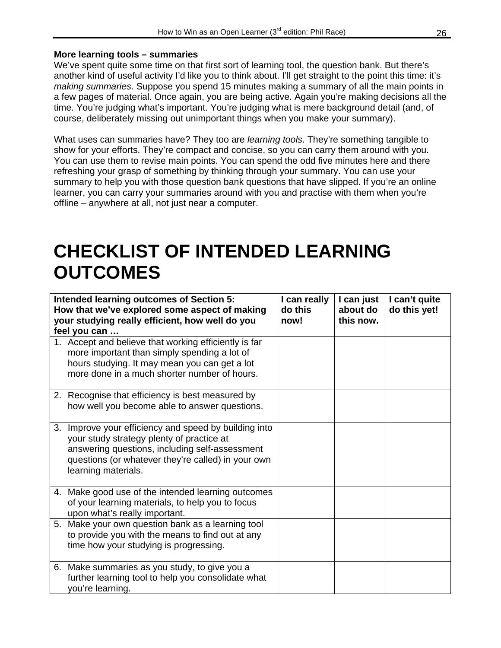#### **More learning tools – summaries**

We've spent quite some time on that first sort of learning tool, the question bank. But there's another kind of useful activity I'd like you to think about. I'll get straight to the point this time: it's *making summaries*. Suppose you spend 15 minutes making a summary of all the main points in a few pages of material. Once again, you are being active. Again you're making decisions all the time. You're judging what's important. You're judging what is mere background detail (and, of course, deliberately missing out unimportant things when you make your summary).

What uses can summaries have? They too are *learning tools*. They're something tangible to show for your efforts. They're compact and concise, so you can carry them around with you. You can use them to revise main points. You can spend the odd five minutes here and there refreshing your grasp of something by thinking through your summary. You can use your summary to help you with those question bank questions that have slipped. If you're an online learner, you can carry your summaries around with you and practise with them when you're offline – anywhere at all, not just near a computer.

### **CHECKLIST OF INTENDED LEARNING OUTCOMES**

| Intended learning outcomes of Section 5:<br>How that we've explored some aspect of making<br>your studying really efficient, how well do you<br>feel you can                                                                      | I can really<br>do this<br>now! | I can just<br>about do<br>this now. | I can't quite<br>do this yet! |
|-----------------------------------------------------------------------------------------------------------------------------------------------------------------------------------------------------------------------------------|---------------------------------|-------------------------------------|-------------------------------|
| 1. Accept and believe that working efficiently is far<br>more important than simply spending a lot of<br>hours studying. It may mean you can get a lot<br>more done in a much shorter number of hours.                            |                                 |                                     |                               |
| 2. Recognise that efficiency is best measured by<br>how well you become able to answer questions.                                                                                                                                 |                                 |                                     |                               |
| 3. Improve your efficiency and speed by building into<br>your study strategy plenty of practice at<br>answering questions, including self-assessment<br>questions (or whatever they're called) in your own<br>learning materials. |                                 |                                     |                               |
| 4. Make good use of the intended learning outcomes<br>of your learning materials, to help you to focus<br>upon what's really important.                                                                                           |                                 |                                     |                               |
| 5. Make your own question bank as a learning tool<br>to provide you with the means to find out at any<br>time how your studying is progressing.                                                                                   |                                 |                                     |                               |
| 6. Make summaries as you study, to give you a<br>further learning tool to help you consolidate what<br>you're learning.                                                                                                           |                                 |                                     |                               |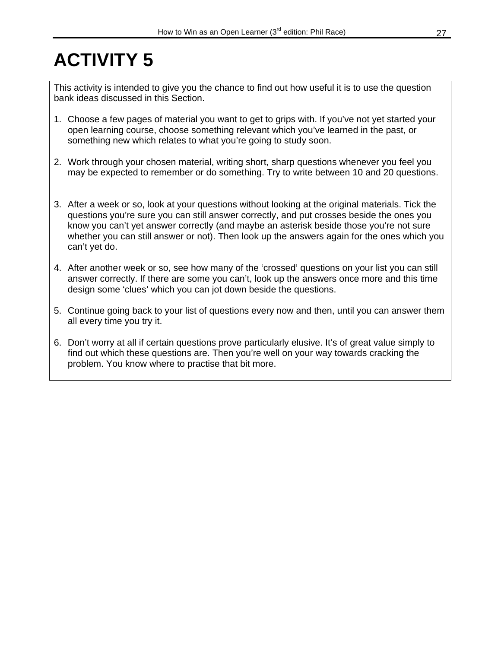## **ACTIVITY 5**

This activity is intended to give you the chance to find out how useful it is to use the question bank ideas discussed in this Section.

- 1. Choose a few pages of material you want to get to grips with. If you've not yet started your open learning course, choose something relevant which you've learned in the past, or something new which relates to what you're going to study soon.
- 2. Work through your chosen material, writing short, sharp questions whenever you feel you may be expected to remember or do something. Try to write between 10 and 20 questions.
- 3. After a week or so, look at your questions without looking at the original materials. Tick the questions you're sure you can still answer correctly, and put crosses beside the ones you know you can't yet answer correctly (and maybe an asterisk beside those you're not sure whether you can still answer or not). Then look up the answers again for the ones which you can't yet do.
- 4. After another week or so, see how many of the 'crossed' questions on your list you can still answer correctly. If there are some you can't, look up the answers once more and this time design some 'clues' which you can jot down beside the questions.
- 5. Continue going back to your list of questions every now and then, until you can answer them all every time you try it.
- 6. Don't worry at all if certain questions prove particularly elusive. It's of great value simply to find out which these questions are. Then you're well on your way towards cracking the problem. You know where to practise that bit more.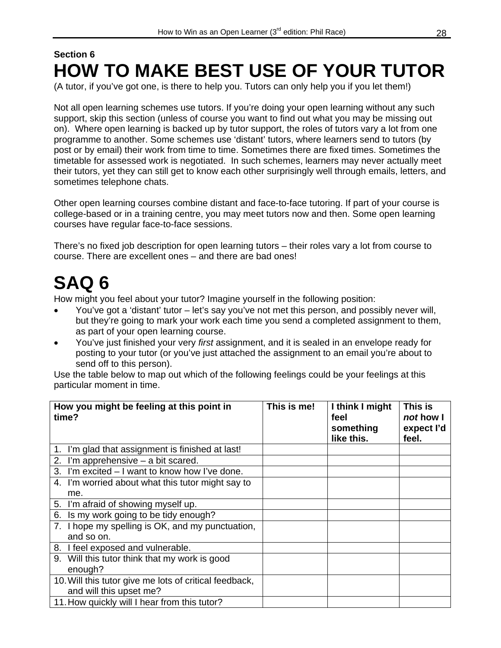### **Section 6 HOW TO MAKE BEST USE OF YOUR TUTOR**

(A tutor, if you've got one, is there to help you. Tutors can only help you if you let them!)

Not all open learning schemes use tutors. If you're doing your open learning without any such support, skip this section (unless of course you want to find out what you may be missing out on). Where open learning is backed up by tutor support, the roles of tutors vary a lot from one programme to another. Some schemes use 'distant' tutors, where learners send to tutors (by post or by email) their work from time to time. Sometimes there are fixed times. Sometimes the timetable for assessed work is negotiated. In such schemes, learners may never actually meet their tutors, yet they can still get to know each other surprisingly well through emails, letters, and sometimes telephone chats.

Other open learning courses combine distant and face-to-face tutoring. If part of your course is college-based or in a training centre, you may meet tutors now and then. Some open learning courses have regular face-to-face sessions.

There's no fixed job description for open learning tutors – their roles vary a lot from course to course. There are excellent ones – and there are bad ones!

## **SAQ 6**

How might you feel about your tutor? Imagine yourself in the following position:

- You've got a 'distant' tutor let's say you've not met this person, and possibly never will, but they're going to mark your work each time you send a completed assignment to them, as part of your open learning course.
- You've just finished your very *first* assignment, and it is sealed in an envelope ready for posting to your tutor (or you've just attached the assignment to an email you're about to send off to this person).

Use the table below to map out which of the following feelings could be your feelings at this particular moment in time.

| How you might be feeling at this point in<br>time?                                | This is me! | I think I might<br>feel<br>something<br>like this. | This is<br>not how I<br>expect l'd<br>feel. |
|-----------------------------------------------------------------------------------|-------------|----------------------------------------------------|---------------------------------------------|
| 1. I'm glad that assignment is finished at last!                                  |             |                                                    |                                             |
| 2. I'm apprehensive $-$ a bit scared.                                             |             |                                                    |                                             |
| 3. I'm excited – I want to know how I've done.                                    |             |                                                    |                                             |
| 4. I'm worried about what this tutor might say to<br>me.                          |             |                                                    |                                             |
| 5. I'm afraid of showing myself up.                                               |             |                                                    |                                             |
| Is my work going to be tidy enough?<br>6.                                         |             |                                                    |                                             |
| 7. I hope my spelling is OK, and my punctuation,<br>and so on.                    |             |                                                    |                                             |
| 8. I feel exposed and vulnerable.                                                 |             |                                                    |                                             |
| 9. Will this tutor think that my work is good<br>enough?                          |             |                                                    |                                             |
| 10. Will this tutor give me lots of critical feedback,<br>and will this upset me? |             |                                                    |                                             |
| 11. How quickly will I hear from this tutor?                                      |             |                                                    |                                             |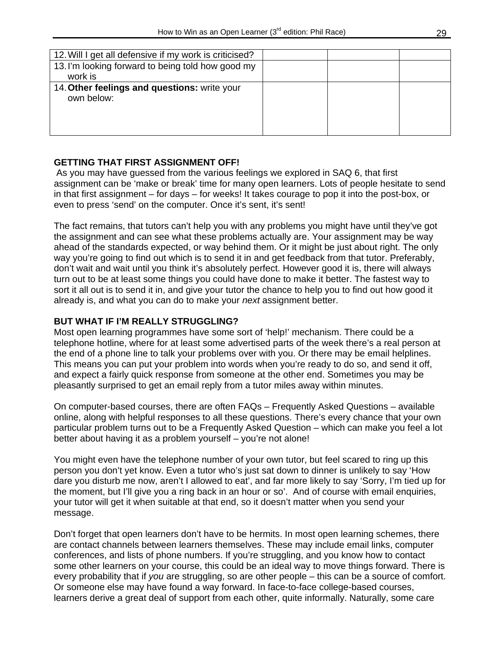| 12. Will I get all defensive if my work is criticised?     |  |  |
|------------------------------------------------------------|--|--|
| 13. I'm looking forward to being told how good my          |  |  |
| work is                                                    |  |  |
| 14. Other feelings and questions: write your<br>own below: |  |  |

#### **GETTING THAT FIRST ASSIGNMENT OFF!**

 As you may have guessed from the various feelings we explored in SAQ 6, that first assignment can be 'make or break' time for many open learners. Lots of people hesitate to send in that first assignment – for days – for weeks! It takes courage to pop it into the post-box, or even to press 'send' on the computer. Once it's sent, it's sent!

The fact remains, that tutors can't help you with any problems you might have until they've got the assignment and can see what these problems actually are. Your assignment may be way ahead of the standards expected, or way behind them. Or it might be just about right. The only way you're going to find out which is to send it in and get feedback from that tutor. Preferably, don't wait and wait until you think it's absolutely perfect. However good it is, there will always turn out to be at least some things you could have done to make it better. The fastest way to sort it all out is to send it in, and give your tutor the chance to help you to find out how good it already is, and what you can do to make your *next* assignment better.

#### **BUT WHAT IF I'M REALLY STRUGGLING?**

Most open learning programmes have some sort of 'help!' mechanism. There could be a telephone hotline, where for at least some advertised parts of the week there's a real person at the end of a phone line to talk your problems over with you. Or there may be email helplines. This means you can put your problem into words when you're ready to do so, and send it off, and expect a fairly quick response from someone at the other end. Sometimes you may be pleasantly surprised to get an email reply from a tutor miles away within minutes.

On computer-based courses, there are often FAQs – Frequently Asked Questions – available online, along with helpful responses to all these questions. There's every chance that your own particular problem turns out to be a Frequently Asked Question – which can make you feel a lot better about having it as a problem yourself – you're not alone!

You might even have the telephone number of your own tutor, but feel scared to ring up this person you don't yet know. Even a tutor who's just sat down to dinner is unlikely to say 'How dare you disturb me now, aren't I allowed to eat', and far more likely to say 'Sorry, I'm tied up for the moment, but I'll give you a ring back in an hour or so'. And of course with email enquiries, your tutor will get it when suitable at that end, so it doesn't matter when you send your message.

Don't forget that open learners don't have to be hermits. In most open learning schemes, there are contact channels between learners themselves. These may include email links, computer conferences, and lists of phone numbers. If you're struggling, and you know how to contact some other learners on your course, this could be an ideal way to move things forward. There is every probability that if *you* are struggling, so are other people – this can be a source of comfort. Or someone else may have found a way forward. In face-to-face college-based courses, learners derive a great deal of support from each other, quite informally. Naturally, some care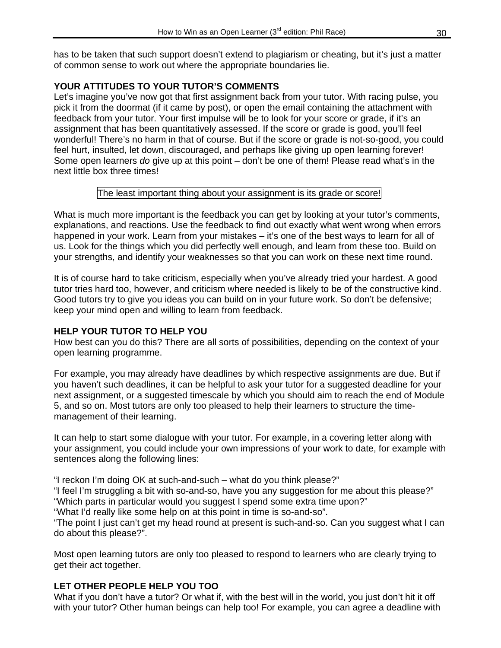has to be taken that such support doesn't extend to plagiarism or cheating, but it's just a matter of common sense to work out where the appropriate boundaries lie.

#### **YOUR ATTITUDES TO YOUR TUTOR'S COMMENTS**

Let's imagine you've now got that first assignment back from your tutor. With racing pulse, you pick it from the doormat (if it came by post), or open the email containing the attachment with feedback from your tutor. Your first impulse will be to look for your score or grade, if it's an assignment that has been quantitatively assessed. If the score or grade is good, you'll feel wonderful! There's no harm in that of course. But if the score or grade is not-so-good, you could feel hurt, insulted, let down, discouraged, and perhaps like giving up open learning forever! Some open learners *do* give up at this point – don't be one of them! Please read what's in the next little box three times!

#### The least important thing about your assignment is its grade or score!

What is much more important is the feedback you can get by looking at your tutor's comments, explanations, and reactions. Use the feedback to find out exactly what went wrong when errors happened in your work. Learn from your mistakes – it's one of the best ways to learn for all of us. Look for the things which you did perfectly well enough, and learn from these too. Build on your strengths, and identify your weaknesses so that you can work on these next time round.

It is of course hard to take criticism, especially when you've already tried your hardest. A good tutor tries hard too, however, and criticism where needed is likely to be of the constructive kind. Good tutors try to give you ideas you can build on in your future work. So don't be defensive; keep your mind open and willing to learn from feedback.

#### **HELP YOUR TUTOR TO HELP YOU**

How best can you do this? There are all sorts of possibilities, depending on the context of your open learning programme.

For example, you may already have deadlines by which respective assignments are due. But if you haven't such deadlines, it can be helpful to ask your tutor for a suggested deadline for your next assignment, or a suggested timescale by which you should aim to reach the end of Module 5, and so on. Most tutors are only too pleased to help their learners to structure the timemanagement of their learning.

It can help to start some dialogue with your tutor. For example, in a covering letter along with your assignment, you could include your own impressions of your work to date, for example with sentences along the following lines:

"I reckon I'm doing OK at such-and-such – what do you think please?"

"I feel I'm struggling a bit with so-and-so, have you any suggestion for me about this please?" "Which parts in particular would you suggest I spend some extra time upon?"

"What I'd really like some help on at this point in time is so-and-so".

"The point I just can't get my head round at present is such-and-so. Can you suggest what I can do about this please?".

Most open learning tutors are only too pleased to respond to learners who are clearly trying to get their act together.

#### **LET OTHER PEOPLE HELP YOU TOO**

What if you don't have a tutor? Or what if, with the best will in the world, you just don't hit it off with your tutor? Other human beings can help too! For example, you can agree a deadline with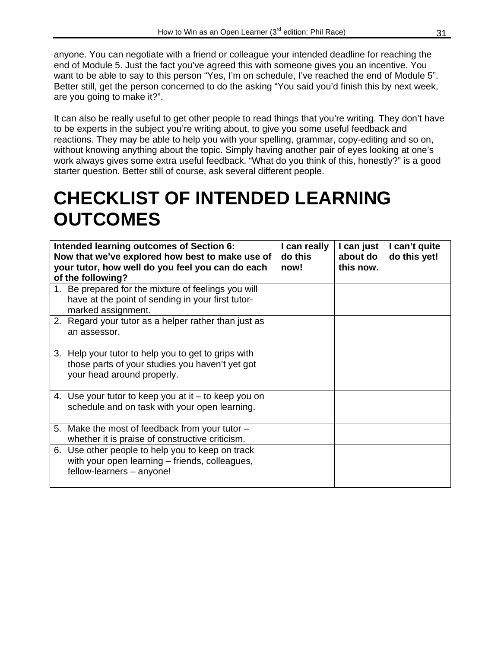anyone. You can negotiate with a friend or colleague your intended deadline for reaching the end of Module 5. Just the fact you've agreed this with someone gives you an incentive. You want to be able to say to this person "Yes, I'm on schedule, I've reached the end of Module 5". Better still, get the person concerned to do the asking "You said you'd finish this by next week, are you going to make it?".

It can also be really useful to get other people to read things that you're writing. They don't have to be experts in the subject you're writing about, to give you some useful feedback and reactions. They may be able to help you with your spelling, grammar, copy-editing and so on, without knowing anything about the topic. Simply having another pair of eyes looking at one's work always gives some extra useful feedback. "What do you think of this, honestly?" is a good starter question. Better still of course, ask several different people.

### **CHECKLIST OF INTENDED LEARNING OUTCOMES**

| Intended learning outcomes of Section 6:<br>Now that we've explored how best to make use of<br>your tutor, how well do you feel you can do each | I can really<br>do this<br>now! | I can just<br>about do<br>this now. | I can't quite<br>do this yet! |
|-------------------------------------------------------------------------------------------------------------------------------------------------|---------------------------------|-------------------------------------|-------------------------------|
| of the following?<br>1. Be prepared for the mixture of feelings you will                                                                        |                                 |                                     |                               |
| have at the point of sending in your first tutor-<br>marked assignment.                                                                         |                                 |                                     |                               |
| 2. Regard your tutor as a helper rather than just as<br>an assessor.                                                                            |                                 |                                     |                               |
| 3. Help your tutor to help you to get to grips with<br>those parts of your studies you haven't yet got<br>your head around properly.            |                                 |                                     |                               |
| 4. Use your tutor to keep you at it $-$ to keep you on<br>schedule and on task with your open learning.                                         |                                 |                                     |                               |
| 5. Make the most of feedback from your tutor -<br>whether it is praise of constructive criticism.                                               |                                 |                                     |                               |
| 6. Use other people to help you to keep on track<br>with your open learning – friends, colleagues,<br>fellow-learners - anyone!                 |                                 |                                     |                               |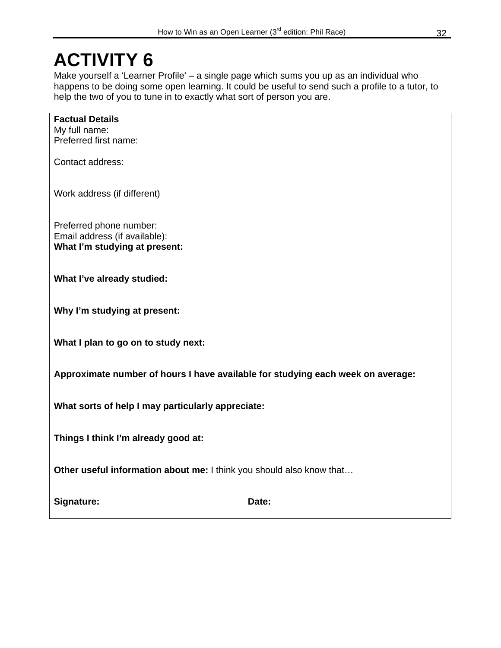### **ACTIVITY 6**

**Factual Details** 

Make yourself a 'Learner Profile' – a single page which sums you up as an individual who happens to be doing some open learning. It could be useful to send such a profile to a tutor, to help the two of you to tune in to exactly what sort of person you are.

| My full name:<br>Preferred first name:                                                    |
|-------------------------------------------------------------------------------------------|
| Contact address:                                                                          |
| Work address (if different)                                                               |
| Preferred phone number:<br>Email address (if available):<br>What I'm studying at present: |
| What I've already studied:                                                                |
| Why I'm studying at present:                                                              |
| What I plan to go on to study next:                                                       |
| Approximate number of hours I have available for studying each week on average:           |
| What sorts of help I may particularly appreciate:                                         |
|                                                                                           |

**Things I think I'm already good at:** 

**Other useful information about me: I think you should also know that...** 

Signature: **Date: Date: Date: Date:**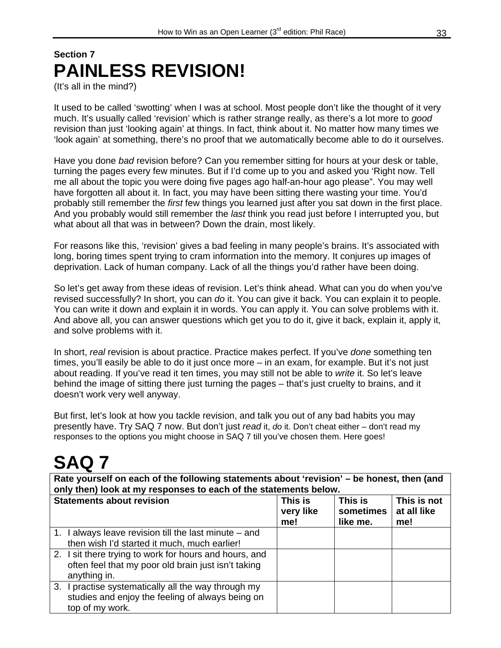### **Section 7 PAINLESS REVISION!**

(It's all in the mind?)

It used to be called 'swotting' when I was at school. Most people don't like the thought of it very much. It's usually called 'revision' which is rather strange really, as there's a lot more to *good* revision than just 'looking again' at things. In fact, think about it. No matter how many times we 'look again' at something, there's no proof that we automatically become able to do it ourselves.

Have you done *bad* revision before? Can you remember sitting for hours at your desk or table, turning the pages every few minutes. But if I'd come up to you and asked you 'Right now. Tell me all about the topic you were doing five pages ago half-an-hour ago please". You may well have forgotten all about it. In fact, you may have been sitting there wasting your time. You'd probably still remember the *first* few things you learned just after you sat down in the first place. And you probably would still remember the *last* think you read just before I interrupted you, but what about all that was in between? Down the drain, most likely.

For reasons like this, 'revision' gives a bad feeling in many people's brains. It's associated with long, boring times spent trying to cram information into the memory. It conjures up images of deprivation. Lack of human company. Lack of all the things you'd rather have been doing.

So let's get away from these ideas of revision. Let's think ahead. What can you do when you've revised successfully? In short, you can *do* it. You can give it back. You can explain it to people. You can write it down and explain it in words. You can apply it. You can solve problems with it. And above all, you can answer questions which get you to do it, give it back, explain it, apply it, and solve problems with it.

In short, *real* revision is about practice. Practice makes perfect. If you've *done* something ten times, you'll easily be able to do it just once more – in an exam, for example. But it's not just about reading. If you've read it ten times, you may still not be able to *write* it. So let's leave behind the image of sitting there just turning the pages – that's just cruelty to brains, and it doesn't work very well anyway.

But first, let's look at how you tackle revision, and talk you out of any bad habits you may presently have. Try SAQ 7 now. But don't just *read* it, *do* it. Don't cheat either – don't read my responses to the options you might choose in SAQ 7 till you've chosen them. Here goes!

## **SAQ 7**

**Rate yourself on each of the following statements about 'revision' – be honest, then (and only then) look at my responses to each of the statements below.** 

| <b>Statements about revision</b>                       | This is<br>very like<br>me! | This is<br>sometimes<br>like me. | This is not<br>at all like<br>me! |
|--------------------------------------------------------|-----------------------------|----------------------------------|-----------------------------------|
| 1. I always leave revision till the last minute - and  |                             |                                  |                                   |
| then wish I'd started it much, much earlier!           |                             |                                  |                                   |
| 2. I sit there trying to work for hours and hours, and |                             |                                  |                                   |
| often feel that my poor old brain just isn't taking    |                             |                                  |                                   |
| anything in.                                           |                             |                                  |                                   |
| 3. I practise systematically all the way through my    |                             |                                  |                                   |
| studies and enjoy the feeling of always being on       |                             |                                  |                                   |
| top of my work.                                        |                             |                                  |                                   |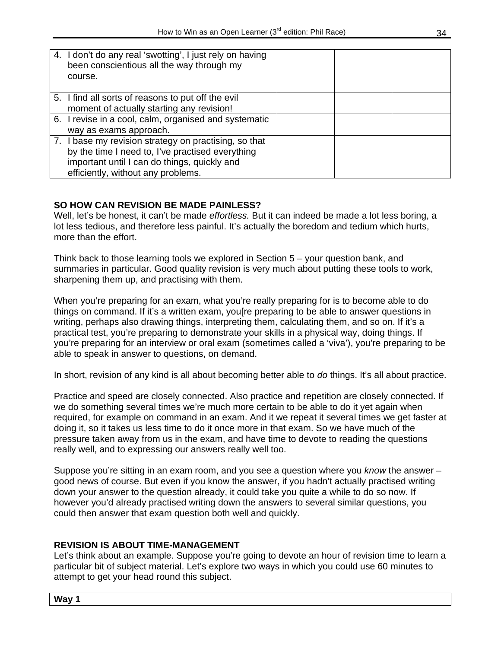| 4. I don't do any real 'swotting', I just rely on having<br>been conscientious all the way through my<br>course.                                                                                |  |  |
|-------------------------------------------------------------------------------------------------------------------------------------------------------------------------------------------------|--|--|
| 5. I find all sorts of reasons to put off the evil<br>moment of actually starting any revision!                                                                                                 |  |  |
| 6. I revise in a cool, calm, organised and systematic<br>way as exams approach.                                                                                                                 |  |  |
| 7. I base my revision strategy on practising, so that<br>by the time I need to, I've practised everything<br>important until I can do things, quickly and<br>efficiently, without any problems. |  |  |

#### **SO HOW CAN REVISION BE MADE PAINLESS?**

Well, let's be honest, it can't be made *effortless.* But it can indeed be made a lot less boring, a lot less tedious, and therefore less painful. It's actually the boredom and tedium which hurts, more than the effort.

Think back to those learning tools we explored in Section 5 – your question bank, and summaries in particular. Good quality revision is very much about putting these tools to work, sharpening them up, and practising with them.

When you're preparing for an exam, what you're really preparing for is to become able to do things on command. If it's a written exam, you[re preparing to be able to answer questions in writing, perhaps also drawing things, interpreting them, calculating them, and so on. If it's a practical test, you're preparing to demonstrate your skills in a physical way, doing things. If you're preparing for an interview or oral exam (sometimes called a 'viva'), you're preparing to be able to speak in answer to questions, on demand.

In short, revision of any kind is all about becoming better able to *do* things. It's all about practice.

Practice and speed are closely connected. Also practice and repetition are closely connected. If we do something several times we're much more certain to be able to do it yet again when required, for example on command in an exam. And it we repeat it several times we get faster at doing it, so it takes us less time to do it once more in that exam. So we have much of the pressure taken away from us in the exam, and have time to devote to reading the questions really well, and to expressing our answers really well too.

Suppose you're sitting in an exam room, and you see a question where you *know* the answer – good news of course. But even if you know the answer, if you hadn't actually practised writing down your answer to the question already, it could take you quite a while to do so now. If however you'd already practised writing down the answers to several similar questions, you could then answer that exam question both well and quickly.

#### **REVISION IS ABOUT TIME-MANAGEMENT**

Let's think about an example. Suppose you're going to devote an hour of revision time to learn a particular bit of subject material. Let's explore two ways in which you could use 60 minutes to attempt to get your head round this subject.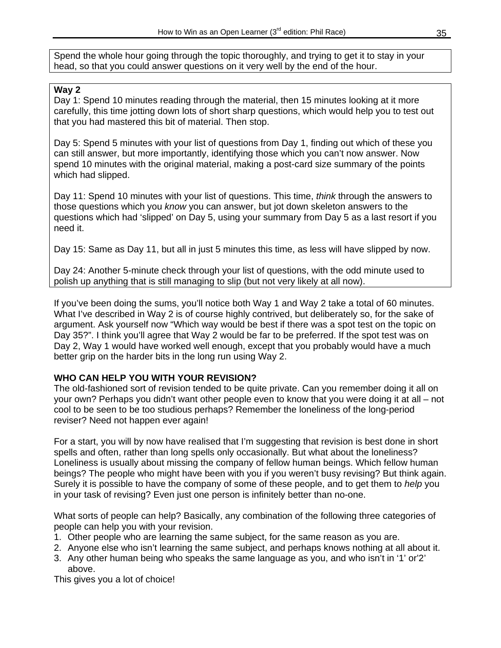Spend the whole hour going through the topic thoroughly, and trying to get it to stay in your head, so that you could answer questions on it very well by the end of the hour.

#### **Way 2**

Day 1: Spend 10 minutes reading through the material, then 15 minutes looking at it more carefully, this time jotting down lots of short sharp questions, which would help you to test out that you had mastered this bit of material. Then stop.

Day 5: Spend 5 minutes with your list of questions from Day 1, finding out which of these you can still answer, but more importantly, identifying those which you can't now answer. Now spend 10 minutes with the original material, making a post-card size summary of the points which had slipped.

Day 11: Spend 10 minutes with your list of questions. This time, *think* through the answers to those questions which you *know* you can answer, but jot down skeleton answers to the questions which had 'slipped' on Day 5, using your summary from Day 5 as a last resort if you need it.

Day 15: Same as Day 11, but all in just 5 minutes this time, as less will have slipped by now.

Day 24: Another 5-minute check through your list of questions, with the odd minute used to polish up anything that is still managing to slip (but not very likely at all now).

If you've been doing the sums, you'll notice both Way 1 and Way 2 take a total of 60 minutes. What I've described in Way 2 is of course highly contrived, but deliberately so, for the sake of argument. Ask yourself now "Which way would be best if there was a spot test on the topic on Day 35?". I think you'll agree that Way 2 would be far to be preferred. If the spot test was on Day 2, Way 1 would have worked well enough, except that you probably would have a much better grip on the harder bits in the long run using Way 2.

#### **WHO CAN HELP YOU WITH YOUR REVISION?**

The old-fashioned sort of revision tended to be quite private. Can you remember doing it all on your own? Perhaps you didn't want other people even to know that you were doing it at all – not cool to be seen to be too studious perhaps? Remember the loneliness of the long-period reviser? Need not happen ever again!

For a start, you will by now have realised that I'm suggesting that revision is best done in short spells and often, rather than long spells only occasionally. But what about the loneliness? Loneliness is usually about missing the company of fellow human beings. Which fellow human beings? The people who might have been with you if you weren't busy revising? But think again. Surely it is possible to have the company of some of these people, and to get them to *help* you in your task of revising? Even just one person is infinitely better than no-one.

What sorts of people can help? Basically, any combination of the following three categories of people can help you with your revision.

- 1. Other people who are learning the same subject, for the same reason as you are.
- 2. Anyone else who isn't learning the same subject, and perhaps knows nothing at all about it.
- 3. Any other human being who speaks the same language as you, and who isn't in '1' or'2' above.

This gives you a lot of choice!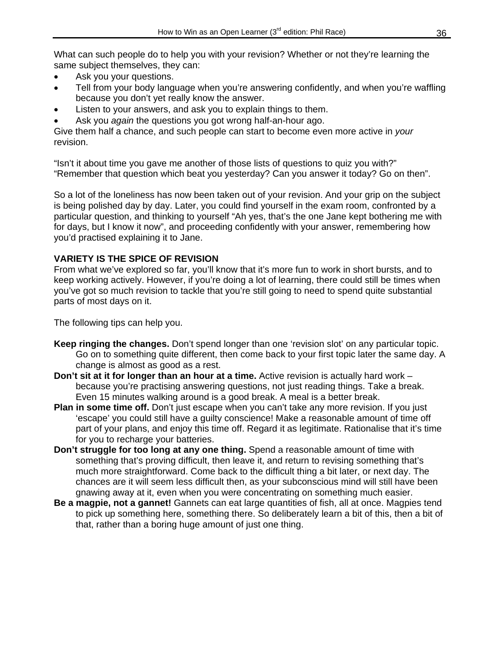What can such people do to help you with your revision? Whether or not they're learning the same subject themselves, they can:

- Ask you your questions.
- Tell from your body language when you're answering confidently, and when you're waffling because you don't yet really know the answer.
- Listen to your answers, and ask you to explain things to them.
- Ask you *again* the questions you got wrong half-an-hour ago.

Give them half a chance, and such people can start to become even more active in *your* revision.

"Isn't it about time you gave me another of those lists of questions to quiz you with?" "Remember that question which beat you yesterday? Can you answer it today? Go on then".

So a lot of the loneliness has now been taken out of your revision. And your grip on the subject is being polished day by day. Later, you could find yourself in the exam room, confronted by a particular question, and thinking to yourself "Ah yes, that's the one Jane kept bothering me with for days, but I know it now", and proceeding confidently with your answer, remembering how you'd practised explaining it to Jane.

#### **VARIETY IS THE SPICE OF REVISION**

From what we've explored so far, you'll know that it's more fun to work in short bursts, and to keep working actively. However, if you're doing a lot of learning, there could still be times when you've got so much revision to tackle that you're still going to need to spend quite substantial parts of most days on it.

The following tips can help you.

- **Keep ringing the changes.** Don't spend longer than one 'revision slot' on any particular topic. Go on to something quite different, then come back to your first topic later the same day. A change is almost as good as a rest.
- **Don't sit at it for longer than an hour at a time.** Active revision is actually hard work because you're practising answering questions, not just reading things. Take a break. Even 15 minutes walking around is a good break. A meal is a better break.
- **Plan in some time off.** Don't just escape when you can't take any more revision. If you just 'escape' you could still have a guilty conscience! Make a reasonable amount of time off part of your plans, and enjoy this time off. Regard it as legitimate. Rationalise that it's time for you to recharge your batteries.
- **Don't struggle for too long at any one thing.** Spend a reasonable amount of time with something that's proving difficult, then leave it, and return to revising something that's much more straightforward. Come back to the difficult thing a bit later, or next day. The chances are it will seem less difficult then, as your subconscious mind will still have been gnawing away at it, even when you were concentrating on something much easier.
- **Be a magpie, not a gannet!** Gannets can eat large quantities of fish, all at once. Magpies tend to pick up something here, something there. So deliberately learn a bit of this, then a bit of that, rather than a boring huge amount of just one thing.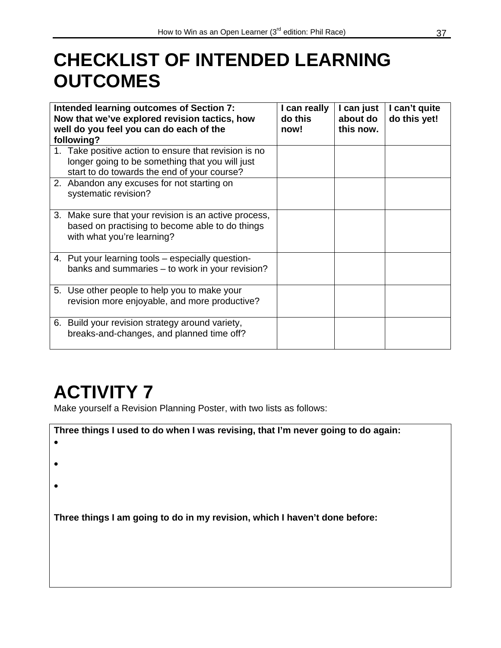### **CHECKLIST OF INTENDED LEARNING OUTCOMES**

| Intended learning outcomes of Section 7:<br>Now that we've explored revision tactics, how<br>well do you feel you can do each of the<br>following?      | I can really<br>do this<br>now! | I can just<br>about do<br>this now. | I can't quite<br>do this yet! |
|---------------------------------------------------------------------------------------------------------------------------------------------------------|---------------------------------|-------------------------------------|-------------------------------|
| 1. Take positive action to ensure that revision is no<br>longer going to be something that you will just<br>start to do towards the end of your course? |                                 |                                     |                               |
| 2. Abandon any excuses for not starting on<br>systematic revision?                                                                                      |                                 |                                     |                               |
| 3. Make sure that your revision is an active process,<br>based on practising to become able to do things<br>with what you're learning?                  |                                 |                                     |                               |
| 4. Put your learning tools – especially question-<br>banks and summaries - to work in your revision?                                                    |                                 |                                     |                               |
| 5. Use other people to help you to make your<br>revision more enjoyable, and more productive?                                                           |                                 |                                     |                               |
| 6. Build your revision strategy around variety,<br>breaks-and-changes, and planned time off?                                                            |                                 |                                     |                               |

### **ACTIVITY 7**

Make yourself a Revision Planning Poster, with two lists as follows:

| Three things I used to do when I was revising, that I'm never going to do again:<br>$\bullet$ |
|-----------------------------------------------------------------------------------------------|
| $\bullet$                                                                                     |
|                                                                                               |
| Three things I am going to do in my revision, which I haven't done before:                    |
|                                                                                               |
|                                                                                               |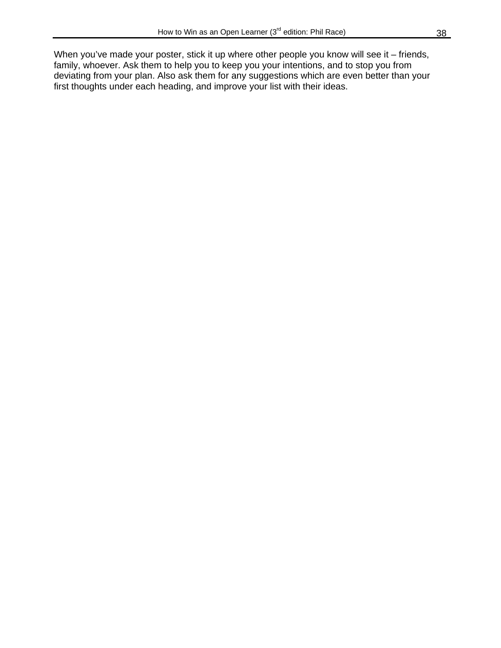When you've made your poster, stick it up where other people you know will see it – friends, family, whoever. Ask them to help you to keep you your intentions, and to stop you from deviating from your plan. Also ask them for any suggestions which are even better than your first thoughts under each heading, and improve your list with their ideas.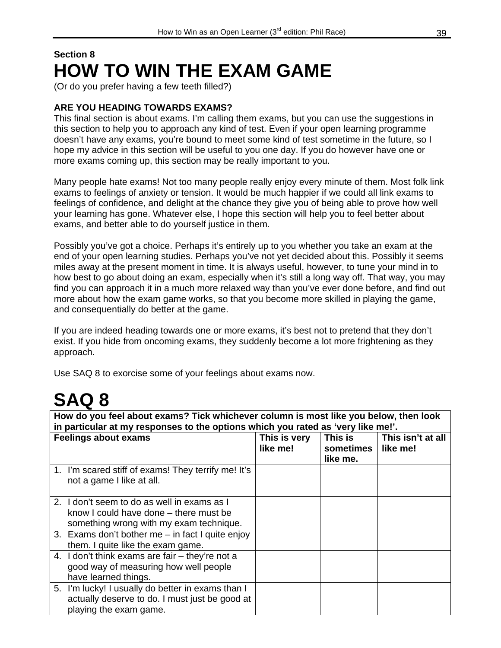### **Section 8 HOW TO WIN THE EXAM GAME**

(Or do you prefer having a few teeth filled?)

#### **ARE YOU HEADING TOWARDS EXAMS?**

This final section is about exams. I'm calling them exams, but you can use the suggestions in this section to help you to approach any kind of test. Even if your open learning programme doesn't have any exams, you're bound to meet some kind of test sometime in the future, so I hope my advice in this section will be useful to you one day. If you do however have one or more exams coming up, this section may be really important to you.

Many people hate exams! Not too many people really enjoy every minute of them. Most folk link exams to feelings of anxiety or tension. It would be much happier if we could all link exams to feelings of confidence, and delight at the chance they give you of being able to prove how well your learning has gone. Whatever else, I hope this section will help you to feel better about exams, and better able to do yourself justice in them.

Possibly you've got a choice. Perhaps it's entirely up to you whether you take an exam at the end of your open learning studies. Perhaps you've not yet decided about this. Possibly it seems miles away at the present moment in time. It is always useful, however, to tune your mind in to how best to go about doing an exam, especially when it's still a long way off. That way, you may find you can approach it in a much more relaxed way than you've ever done before, and find out more about how the exam game works, so that you become more skilled in playing the game, and consequentially do better at the game.

If you are indeed heading towards one or more exams, it's best not to pretend that they don't exist. If you hide from oncoming exams, they suddenly become a lot more frightening as they approach.

Use SAQ 8 to exorcise some of your feelings about exams now.

### **SAQ 8**

**How do you feel about exams? Tick whichever column is most like you below, then look in particular at my responses to the options which you rated as 'very like me!'.** 

| <b>Feelings about exams</b>                         | This is very<br>like me! | This is<br>sometimes | This isn't at all<br>like me! |
|-----------------------------------------------------|--------------------------|----------------------|-------------------------------|
|                                                     |                          | like me.             |                               |
| 1. I'm scared stiff of exams! They terrify me! It's |                          |                      |                               |
| not a game I like at all.                           |                          |                      |                               |
|                                                     |                          |                      |                               |
| 2. I don't seem to do as well in exams as I         |                          |                      |                               |
| know I could have done – there must be              |                          |                      |                               |
| something wrong with my exam technique.             |                          |                      |                               |
| 3. Exams don't bother me $-$ in fact I quite enjoy  |                          |                      |                               |
| them. I quite like the exam game.                   |                          |                      |                               |
| 4. I don't think exams are fair - they're not a     |                          |                      |                               |
| good way of measuring how well people               |                          |                      |                               |
| have learned things.                                |                          |                      |                               |
| 5. I'm lucky! I usually do better in exams than I   |                          |                      |                               |
| actually deserve to do. I must just be good at      |                          |                      |                               |
| playing the exam game.                              |                          |                      |                               |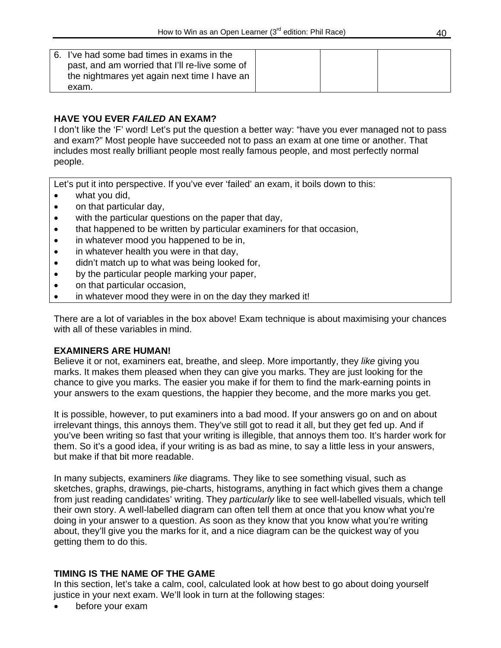| 6. I've had some bad times in exams in the<br>past, and am worried that I'll re-live some of<br>the nightmares yet again next time I have an |  |  |
|----------------------------------------------------------------------------------------------------------------------------------------------|--|--|
| exam.                                                                                                                                        |  |  |

#### **HAVE YOU EVER** *FAILED* **AN EXAM?**

I don't like the 'F' word! Let's put the question a better way: "have you ever managed not to pass and exam?" Most people have succeeded not to pass an exam at one time or another. That includes most really brilliant people most really famous people, and most perfectly normal people.

Let's put it into perspective. If you've ever 'failed' an exam, it boils down to this:

- what you did,
- on that particular day,
- with the particular questions on the paper that day,
- that happened to be written by particular examiners for that occasion,
- in whatever mood you happened to be in,
- in whatever health you were in that day,
- didn't match up to what was being looked for,
- by the particular people marking your paper,
- on that particular occasion,
- in whatever mood they were in on the day they marked it!

There are a lot of variables in the box above! Exam technique is about maximising your chances with all of these variables in mind.

#### **EXAMINERS ARE HUMAN!**

Believe it or not, examiners eat, breathe, and sleep. More importantly, they *like* giving you marks. It makes them pleased when they can give you marks. They are just looking for the chance to give you marks. The easier you make if for them to find the mark-earning points in your answers to the exam questions, the happier they become, and the more marks you get.

It is possible, however, to put examiners into a bad mood. If your answers go on and on about irrelevant things, this annoys them. They've still got to read it all, but they get fed up. And if you've been writing so fast that your writing is illegible, that annoys them too. It's harder work for them. So it's a good idea, if your writing is as bad as mine, to say a little less in your answers, but make if that bit more readable.

In many subjects, examiners *like* diagrams. They like to see something visual, such as sketches, graphs, drawings, pie-charts, histograms, anything in fact which gives them a change from just reading candidates' writing. They *particularly* like to see well-labelled visuals, which tell their own story. A well-labelled diagram can often tell them at once that you know what you're doing in your answer to a question. As soon as they know that you know what you're writing about, they'll give you the marks for it, and a nice diagram can be the quickest way of you getting them to do this.

#### **TIMING IS THE NAME OF THE GAME**

In this section, let's take a calm, cool, calculated look at how best to go about doing yourself justice in your next exam. We'll look in turn at the following stages:

before your exam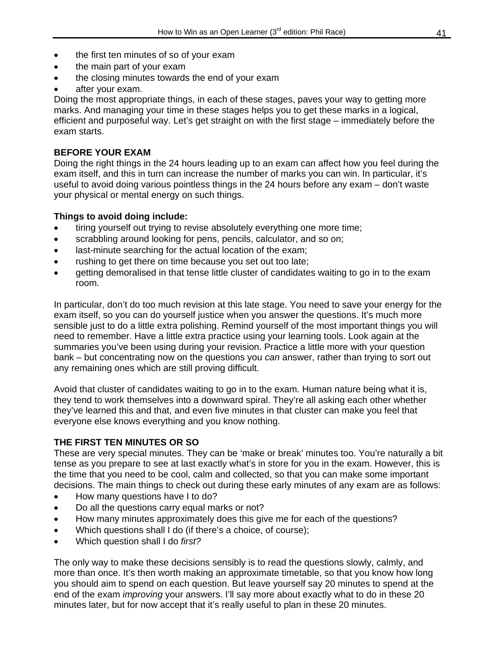- the first ten minutes of so of your exam
- the main part of your exam
- the closing minutes towards the end of your exam
- after your exam.

Doing the most appropriate things, in each of these stages, paves your way to getting more marks. And managing your time in these stages helps you to get these marks in a logical, efficient and purposeful way. Let's get straight on with the first stage – immediately before the exam starts.

#### **BEFORE YOUR EXAM**

Doing the right things in the 24 hours leading up to an exam can affect how you feel during the exam itself, and this in turn can increase the number of marks you can win. In particular, it's useful to avoid doing various pointless things in the 24 hours before any exam – don't waste your physical or mental energy on such things.

#### **Things to avoid doing include:**

- tiring yourself out trying to revise absolutely everything one more time;
- scrabbling around looking for pens, pencils, calculator, and so on;
- last-minute searching for the actual location of the exam;
- rushing to get there on time because you set out too late;
- getting demoralised in that tense little cluster of candidates waiting to go in to the exam room.

In particular, don't do too much revision at this late stage. You need to save your energy for the exam itself, so you can do yourself justice when you answer the questions. It's much more sensible just to do a little extra polishing. Remind yourself of the most important things you will need to remember. Have a little extra practice using your learning tools. Look again at the summaries you've been using during your revision. Practice a little more with your question bank – but concentrating now on the questions you *can* answer, rather than trying to sort out any remaining ones which are still proving difficult.

Avoid that cluster of candidates waiting to go in to the exam. Human nature being what it is, they tend to work themselves into a downward spiral. They're all asking each other whether they've learned this and that, and even five minutes in that cluster can make you feel that everyone else knows everything and you know nothing.

#### **THE FIRST TEN MINUTES OR SO**

These are very special minutes. They can be 'make or break' minutes too. You're naturally a bit tense as you prepare to see at last exactly what's in store for you in the exam. However, this is the time that you need to be cool, calm and collected, so that you can make some important decisions. The main things to check out during these early minutes of any exam are as follows:

- How many questions have I to do?
- Do all the questions carry equal marks or not?
- How many minutes approximately does this give me for each of the questions?
- Which questions shall I do (if there's a choice, of course);
- Which question shall I do *first?*

The only way to make these decisions sensibly is to read the questions slowly, calmly, and more than once. It's then worth making an approximate timetable, so that you know how long you should aim to spend on each question. But leave yourself say 20 minutes to spend at the end of the exam *improving* your answers. I'll say more about exactly what to do in these 20 minutes later, but for now accept that it's really useful to plan in these 20 minutes.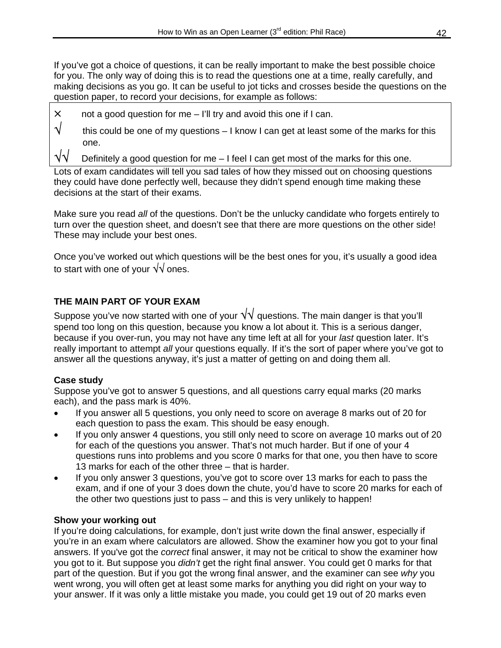If you've got a choice of questions, it can be really important to make the best possible choice for you. The only way of doing this is to read the questions one at a time, really carefully, and making decisions as you go. It can be useful to jot ticks and crosses beside the questions on the question paper, to record your decisions, for example as follows:



 $\times$  not a good question for me – I'll try and avoid this one if I can.

 $\sqrt{\phantom{a}}$  this could be one of my questions – I know I can get at least some of the marks for this one.

Definitely a good question for me – I feel I can get most of the marks for this one.

Lots of exam candidates will tell you sad tales of how they missed out on choosing questions they could have done perfectly well, because they didn't spend enough time making these decisions at the start of their exams.

Make sure you read *all* of the questions. Don't be the unlucky candidate who forgets entirely to turn over the question sheet, and doesn't see that there are more questions on the other side! These may include your best ones.

Once you've worked out which questions will be the best ones for you, it's usually a good idea to start with one of your √√ ones.

#### **THE MAIN PART OF YOUR EXAM**

Suppose you've now started with one of your  $\sqrt{v}$  questions. The main danger is that you'll spend too long on this question, because you know a lot about it. This is a serious danger, because if you over-run, you may not have any time left at all for your *last* question later. It's really important to attempt *all* your questions equally. If it's the sort of paper where you've got to answer all the questions anyway, it's just a matter of getting on and doing them all.

#### **Case study**

Suppose you've got to answer 5 questions, and all questions carry equal marks (20 marks each), and the pass mark is 40%.

- If you answer all 5 questions, you only need to score on average 8 marks out of 20 for each question to pass the exam. This should be easy enough.
- If you only answer 4 questions, you still only need to score on average 10 marks out of 20 for each of the questions you answer. That's not much harder. But if one of your 4 questions runs into problems and you score 0 marks for that one, you then have to score 13 marks for each of the other three – that is harder.
- If you only answer 3 questions, you've got to score over 13 marks for each to pass the exam, and if one of your 3 does down the chute, you'd have to score 20 marks for each of the other two questions just to pass – and this is very unlikely to happen!

#### **Show your working out**

If you're doing calculations, for example, don't just write down the final answer, especially if you're in an exam where calculators are allowed. Show the examiner how you got to your final answers. If you've got the *correct* final answer, it may not be critical to show the examiner how you got to it. But suppose you *didn't* get the right final answer. You could get 0 marks for that part of the question. But if you got the wrong final answer, and the examiner can see *why* you went wrong, you will often get at least some marks for anything you did right on your way to your answer. If it was only a little mistake you made, you could get 19 out of 20 marks even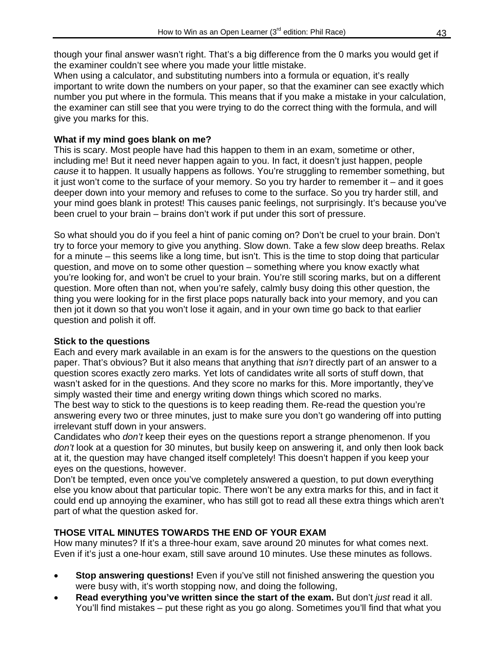though your final answer wasn't right. That's a big difference from the 0 marks you would get if the examiner couldn't see where you made your little mistake.

When using a calculator, and substituting numbers into a formula or equation, it's really important to write down the numbers on your paper, so that the examiner can see exactly which number you put where in the formula. This means that if you make a mistake in your calculation, the examiner can still see that you were trying to do the correct thing with the formula, and will give you marks for this.

#### **What if my mind goes blank on me?**

This is scary. Most people have had this happen to them in an exam, sometime or other, including me! But it need never happen again to you. In fact, it doesn't just happen, people *cause* it to happen. It usually happens as follows. You're struggling to remember something, but it just won't come to the surface of your memory. So you try harder to remember it – and it goes deeper down into your memory and refuses to come to the surface. So you try harder still, and your mind goes blank in protest! This causes panic feelings, not surprisingly. It's because you've been cruel to your brain – brains don't work if put under this sort of pressure.

So what should you do if you feel a hint of panic coming on? Don't be cruel to your brain. Don't try to force your memory to give you anything. Slow down. Take a few slow deep breaths. Relax for a minute – this seems like a long time, but isn't. This is the time to stop doing that particular question, and move on to some other question – something where you know exactly what you're looking for, and won't be cruel to your brain. You're still scoring marks, but on a different question. More often than not, when you're safely, calmly busy doing this other question, the thing you were looking for in the first place pops naturally back into your memory, and you can then jot it down so that you won't lose it again, and in your own time go back to that earlier question and polish it off.

#### **Stick to the questions**

Each and every mark available in an exam is for the answers to the questions on the question paper. That's obvious? But it also means that anything that *isn't* directly part of an answer to a question scores exactly zero marks. Yet lots of candidates write all sorts of stuff down, that wasn't asked for in the questions. And they score no marks for this. More importantly, they've simply wasted their time and energy writing down things which scored no marks.

The best way to stick to the questions is to keep reading them. Re-read the question you're answering every two or three minutes, just to make sure you don't go wandering off into putting irrelevant stuff down in your answers.

Candidates who *don't* keep their eyes on the questions report a strange phenomenon. If you *don't* look at a question for 30 minutes, but busily keep on answering it, and only then look back at it, the question may have changed itself completely! This doesn't happen if you keep your eyes on the questions, however.

Don't be tempted, even once you've completely answered a question, to put down everything else you know about that particular topic. There won't be any extra marks for this, and in fact it could end up annoying the examiner, who has still got to read all these extra things which aren't part of what the question asked for.

#### **THOSE VITAL MINUTES TOWARDS THE END OF YOUR EXAM**

How many minutes? If it's a three-hour exam, save around 20 minutes for what comes next. Even if it's just a one-hour exam, still save around 10 minutes. Use these minutes as follows.

- Stop answering questions! Even if you've still not finished answering the question you were busy with, it's worth stopping now, and doing the following,
- **Read everything you've written since the start of the exam.** But don't *just* read it all. You'll find mistakes – put these right as you go along. Sometimes you'll find that what you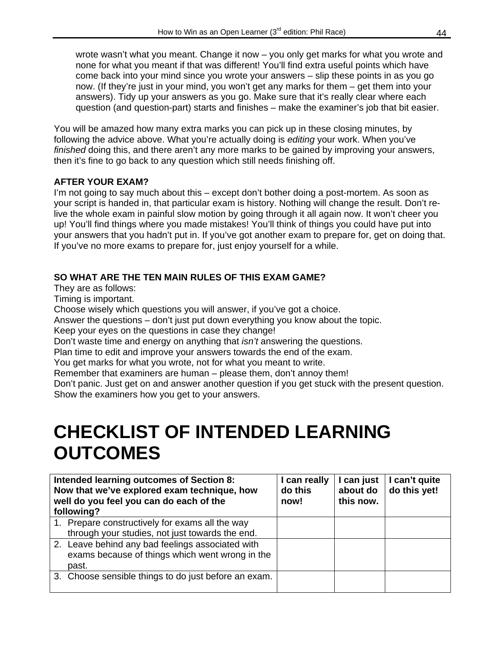wrote wasn't what you meant. Change it now – you only get marks for what you wrote and none for what you meant if that was different! You'll find extra useful points which have come back into your mind since you wrote your answers – slip these points in as you go now. (If they're just in your mind, you won't get any marks for them – get them into your answers). Tidy up your answers as you go. Make sure that it's really clear where each question (and question-part) starts and finishes – make the examiner's job that bit easier.

You will be amazed how many extra marks you can pick up in these closing minutes, by following the advice above. What you're actually doing is *editing* your work. When you've *finished* doing this, and there aren't any more marks to be gained by improving your answers, then it's fine to go back to any question which still needs finishing off.

#### **AFTER YOUR EXAM?**

I'm not going to say much about this – except don't bother doing a post-mortem. As soon as your script is handed in, that particular exam is history. Nothing will change the result. Don't relive the whole exam in painful slow motion by going through it all again now. It won't cheer you up! You'll find things where you made mistakes! You'll think of things you could have put into your answers that you hadn't put in. If you've got another exam to prepare for, get on doing that. If you've no more exams to prepare for, just enjoy yourself for a while.

#### **SO WHAT ARE THE TEN MAIN RULES OF THIS EXAM GAME?**

They are as follows:

Timing is important.

Choose wisely which questions you will answer, if you've got a choice.

Answer the questions – don't just put down everything you know about the topic.

Keep your eyes on the questions in case they change!

Don't waste time and energy on anything that *isn't* answering the questions.

Plan time to edit and improve your answers towards the end of the exam.

You get marks for what you wrote, not for what you meant to write.

Remember that examiners are human – please them, don't annoy them!

Don't panic. Just get on and answer another question if you get stuck with the present question. Show the examiners how you get to your answers.

### **CHECKLIST OF INTENDED LEARNING OUTCOMES**

| Intended learning outcomes of Section 8:<br>Now that we've explored exam technique, how<br>well do you feel you can do each of the<br>following? |                                                                                                              | I can really<br>do this<br>now! | I can just<br>about do<br>this now. | I can't quite<br>do this yet! |
|--------------------------------------------------------------------------------------------------------------------------------------------------|--------------------------------------------------------------------------------------------------------------|---------------------------------|-------------------------------------|-------------------------------|
|                                                                                                                                                  | 1. Prepare constructively for exams all the way<br>through your studies, not just towards the end.           |                                 |                                     |                               |
|                                                                                                                                                  | 2. Leave behind any bad feelings associated with<br>exams because of things which went wrong in the<br>past. |                                 |                                     |                               |
|                                                                                                                                                  | 3. Choose sensible things to do just before an exam.                                                         |                                 |                                     |                               |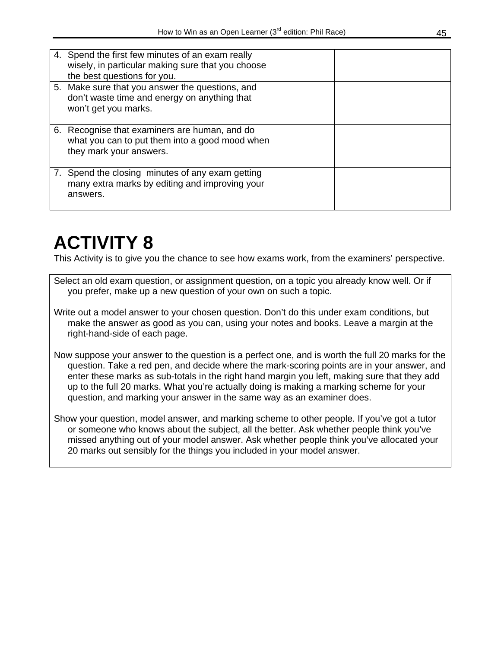| 4. Spend the first few minutes of an exam really<br>wisely, in particular making sure that you choose<br>the best questions for you. |  |  |
|--------------------------------------------------------------------------------------------------------------------------------------|--|--|
| 5. Make sure that you answer the questions, and<br>don't waste time and energy on anything that<br>won't get you marks.              |  |  |
| 6. Recognise that examiners are human, and do<br>what you can to put them into a good mood when<br>they mark your answers.           |  |  |
| 7. Spend the closing minutes of any exam getting<br>many extra marks by editing and improving your<br>answers.                       |  |  |

### **ACTIVITY 8**

This Activity is to give you the chance to see how exams work, from the examiners' perspective.

Select an old exam question, or assignment question, on a topic you already know well. Or if you prefer, make up a new question of your own on such a topic.

Write out a model answer to your chosen question. Don't do this under exam conditions, but make the answer as good as you can, using your notes and books. Leave a margin at the right-hand-side of each page.

Now suppose your answer to the question is a perfect one, and is worth the full 20 marks for the question. Take a red pen, and decide where the mark-scoring points are in your answer, and enter these marks as sub-totals in the right hand margin you left, making sure that they add up to the full 20 marks. What you're actually doing is making a marking scheme for your question, and marking your answer in the same way as an examiner does.

Show your question, model answer, and marking scheme to other people. If you've got a tutor or someone who knows about the subject, all the better. Ask whether people think you've missed anything out of your model answer. Ask whether people think you've allocated your 20 marks out sensibly for the things you included in your model answer.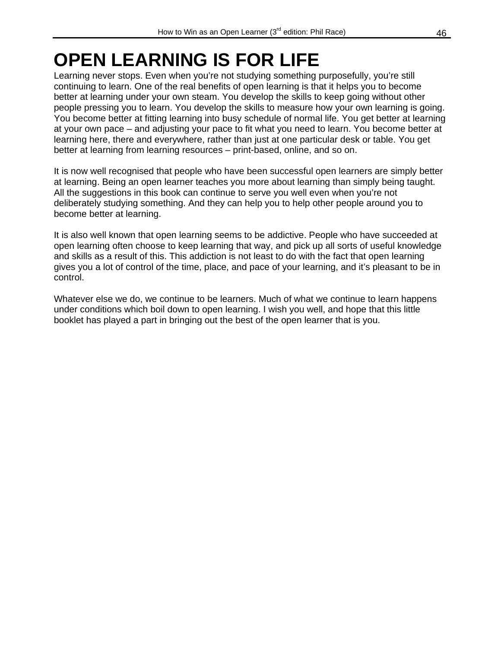## **OPEN LEARNING IS FOR LIFE**

Learning never stops. Even when you're not studying something purposefully, you're still continuing to learn. One of the real benefits of open learning is that it helps you to become better at learning under your own steam. You develop the skills to keep going without other people pressing you to learn. You develop the skills to measure how your own learning is going. You become better at fitting learning into busy schedule of normal life. You get better at learning at your own pace – and adjusting your pace to fit what you need to learn. You become better at learning here, there and everywhere, rather than just at one particular desk or table. You get better at learning from learning resources – print-based, online, and so on.

It is now well recognised that people who have been successful open learners are simply better at learning. Being an open learner teaches you more about learning than simply being taught. All the suggestions in this book can continue to serve you well even when you're not deliberately studying something. And they can help you to help other people around you to become better at learning.

It is also well known that open learning seems to be addictive. People who have succeeded at open learning often choose to keep learning that way, and pick up all sorts of useful knowledge and skills as a result of this. This addiction is not least to do with the fact that open learning gives you a lot of control of the time, place, and pace of your learning, and it's pleasant to be in control.

Whatever else we do, we continue to be learners. Much of what we continue to learn happens under conditions which boil down to open learning. I wish you well, and hope that this little booklet has played a part in bringing out the best of the open learner that is you.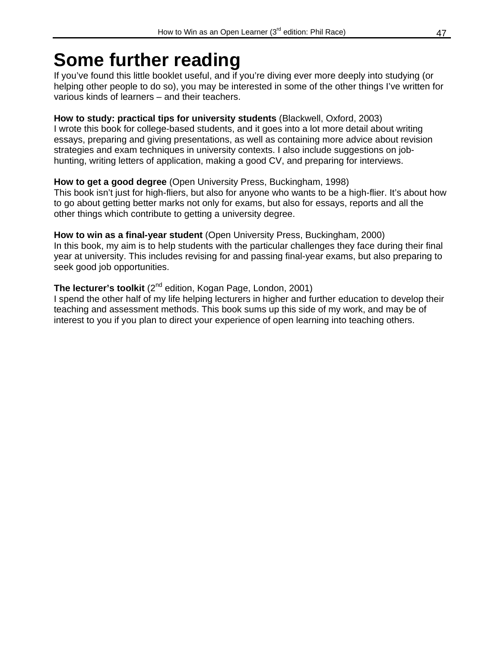### **Some further reading**

If you've found this little booklet useful, and if you're diving ever more deeply into studying (or helping other people to do so), you may be interested in some of the other things I've written for various kinds of learners – and their teachers.

#### **How to study: practical tips for university students** (Blackwell, Oxford, 2003) I wrote this book for college-based students, and it goes into a lot more detail about writing essays, preparing and giving presentations, as well as containing more advice about revision strategies and exam techniques in university contexts. I also include suggestions on jobhunting, writing letters of application, making a good CV, and preparing for interviews.

#### **How to get a good degree** (Open University Press, Buckingham, 1998)

This book isn't just for high-fliers, but also for anyone who wants to be a high-flier. It's about how to go about getting better marks not only for exams, but also for essays, reports and all the other things which contribute to getting a university degree.

#### **How to win as a final-year student** (Open University Press, Buckingham, 2000)

In this book, my aim is to help students with the particular challenges they face during their final year at university. This includes revising for and passing final-year exams, but also preparing to seek good job opportunities.

#### **The lecturer's toolkit** (2<sup>nd</sup> edition, Kogan Page, London, 2001)

I spend the other half of my life helping lecturers in higher and further education to develop their teaching and assessment methods. This book sums up this side of my work, and may be of interest to you if you plan to direct your experience of open learning into teaching others.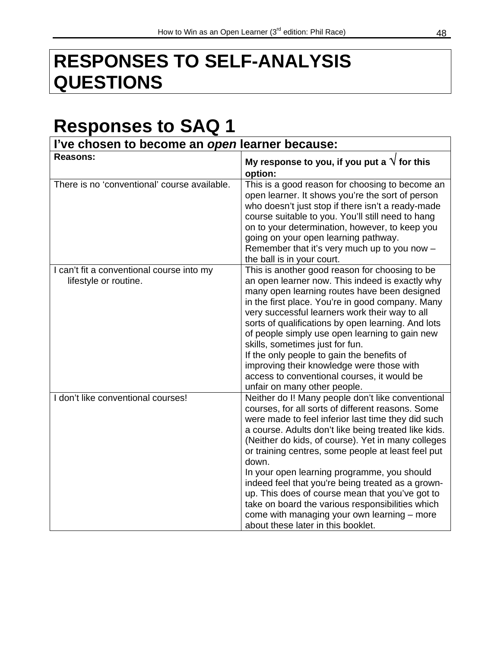### **RESPONSES TO SELF-ANALYSIS QUESTIONS**

### **Responses to SAQ 1**

| I've chosen to become an open learner because:                     |                                                                                                                                                                                                                                                                                                                                                                                                                                                                                                                                                                                                                                           |  |
|--------------------------------------------------------------------|-------------------------------------------------------------------------------------------------------------------------------------------------------------------------------------------------------------------------------------------------------------------------------------------------------------------------------------------------------------------------------------------------------------------------------------------------------------------------------------------------------------------------------------------------------------------------------------------------------------------------------------------|--|
| <b>Reasons:</b>                                                    | My response to you, if you put a $\sqrt{}$ for this<br>option:                                                                                                                                                                                                                                                                                                                                                                                                                                                                                                                                                                            |  |
| There is no 'conventional' course available.                       | This is a good reason for choosing to become an<br>open learner. It shows you're the sort of person<br>who doesn't just stop if there isn't a ready-made<br>course suitable to you. You'll still need to hang<br>on to your determination, however, to keep you<br>going on your open learning pathway.<br>Remember that it's very much up to you now -<br>the ball is in your court.                                                                                                                                                                                                                                                     |  |
| I can't fit a conventional course into my<br>lifestyle or routine. | This is another good reason for choosing to be<br>an open learner now. This indeed is exactly why<br>many open learning routes have been designed<br>in the first place. You're in good company. Many<br>very successful learners work their way to all<br>sorts of qualifications by open learning. And lots<br>of people simply use open learning to gain new<br>skills, sometimes just for fun.<br>If the only people to gain the benefits of<br>improving their knowledge were those with<br>access to conventional courses, it would be<br>unfair on many other people.                                                              |  |
| I don't like conventional courses!                                 | Neither do I! Many people don't like conventional<br>courses, for all sorts of different reasons. Some<br>were made to feel inferior last time they did such<br>a course. Adults don't like being treated like kids.<br>(Neither do kids, of course). Yet in many colleges<br>or training centres, some people at least feel put<br>down.<br>In your open learning programme, you should<br>indeed feel that you're being treated as a grown-<br>up. This does of course mean that you've got to<br>take on board the various responsibilities which<br>come with managing your own learning - more<br>about these later in this booklet. |  |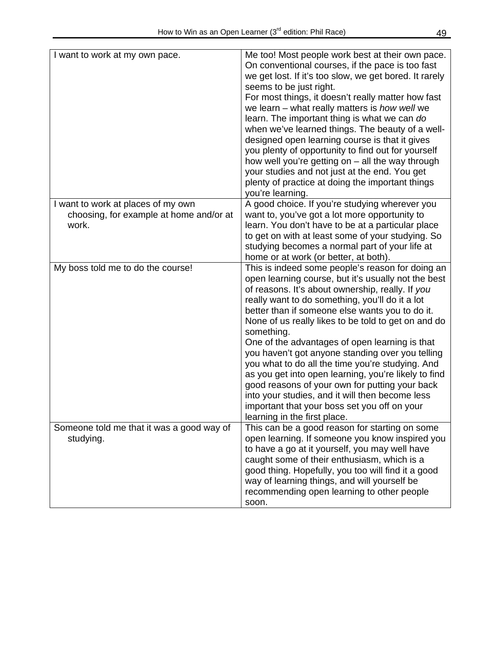| I want to work at my own pace.                                                         | Me too! Most people work best at their own pace.<br>On conventional courses, if the pace is too fast<br>we get lost. If it's too slow, we get bored. It rarely<br>seems to be just right.<br>For most things, it doesn't really matter how fast<br>we learn $-$ what really matters is how well we<br>learn. The important thing is what we can do<br>when we've learned things. The beauty of a well-<br>designed open learning course is that it gives<br>you plenty of opportunity to find out for yourself<br>how well you're getting on $-$ all the way through<br>your studies and not just at the end. You get<br>plenty of practice at doing the important things<br>you're learning.                                                 |
|----------------------------------------------------------------------------------------|-----------------------------------------------------------------------------------------------------------------------------------------------------------------------------------------------------------------------------------------------------------------------------------------------------------------------------------------------------------------------------------------------------------------------------------------------------------------------------------------------------------------------------------------------------------------------------------------------------------------------------------------------------------------------------------------------------------------------------------------------|
| I want to work at places of my own<br>choosing, for example at home and/or at<br>work. | A good choice. If you're studying wherever you<br>want to, you've got a lot more opportunity to<br>learn. You don't have to be at a particular place<br>to get on with at least some of your studying. So<br>studying becomes a normal part of your life at<br>home or at work (or better, at both).                                                                                                                                                                                                                                                                                                                                                                                                                                          |
| My boss told me to do the course!                                                      | This is indeed some people's reason for doing an<br>open learning course, but it's usually not the best<br>of reasons. It's about ownership, really. If you<br>really want to do something, you'll do it a lot<br>better than if someone else wants you to do it.<br>None of us really likes to be told to get on and do<br>something.<br>One of the advantages of open learning is that<br>you haven't got anyone standing over you telling<br>you what to do all the time you're studying. And<br>as you get into open learning, you're likely to find<br>good reasons of your own for putting your back<br>into your studies, and it will then become less<br>important that your boss set you off on your<br>learning in the first place. |
| Someone told me that it was a good way of<br>studying.                                 | This can be a good reason for starting on some<br>open learning. If someone you know inspired you<br>to have a go at it yourself, you may well have<br>caught some of their enthusiasm, which is a<br>good thing. Hopefully, you too will find it a good<br>way of learning things, and will yourself be<br>recommending open learning to other people<br>soon.                                                                                                                                                                                                                                                                                                                                                                               |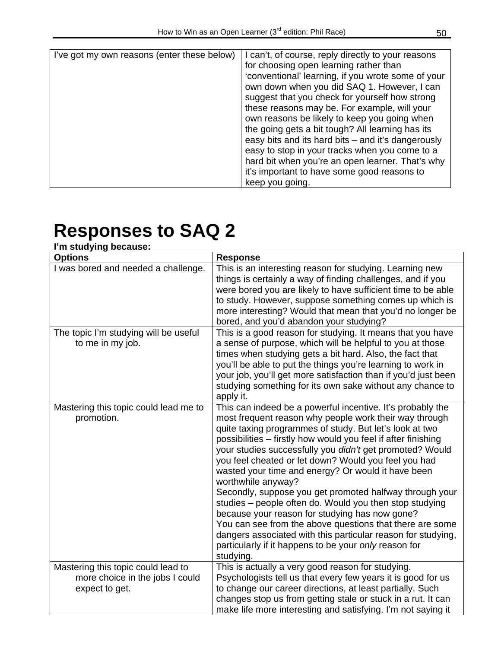| I've got my own reasons (enter these below) | I can't, of course, reply directly to your reasons<br>for choosing open learning rather than<br>'conventional' learning, if you wrote some of your<br>own down when you did SAQ 1. However, I can<br>suggest that you check for yourself how strong                                                                                                                            |
|---------------------------------------------|--------------------------------------------------------------------------------------------------------------------------------------------------------------------------------------------------------------------------------------------------------------------------------------------------------------------------------------------------------------------------------|
|                                             | these reasons may be. For example, will your<br>own reasons be likely to keep you going when<br>the going gets a bit tough? All learning has its<br>easy bits and its hard bits - and it's dangerously<br>easy to stop in your tracks when you come to a<br>hard bit when you're an open learner. That's why<br>it's important to have some good reasons to<br>keep you going. |

| I'm studying because:                                                                   |                                                                                                                                                                                                                                                                                                                                                                                                                                                                                                                                                                                                                                                                                                                                                                                                                            |
|-----------------------------------------------------------------------------------------|----------------------------------------------------------------------------------------------------------------------------------------------------------------------------------------------------------------------------------------------------------------------------------------------------------------------------------------------------------------------------------------------------------------------------------------------------------------------------------------------------------------------------------------------------------------------------------------------------------------------------------------------------------------------------------------------------------------------------------------------------------------------------------------------------------------------------|
| <b>Options</b>                                                                          | <b>Response</b>                                                                                                                                                                                                                                                                                                                                                                                                                                                                                                                                                                                                                                                                                                                                                                                                            |
| I was bored and needed a challenge.                                                     | This is an interesting reason for studying. Learning new<br>things is certainly a way of finding challenges, and if you<br>were bored you are likely to have sufficient time to be able<br>to study. However, suppose something comes up which is<br>more interesting? Would that mean that you'd no longer be<br>bored, and you'd abandon your studying?                                                                                                                                                                                                                                                                                                                                                                                                                                                                  |
| The topic I'm studying will be useful<br>to me in my job.                               | This is a good reason for studying. It means that you have<br>a sense of purpose, which will be helpful to you at those<br>times when studying gets a bit hard. Also, the fact that<br>you'll be able to put the things you're learning to work in<br>your job, you'll get more satisfaction than if you'd just been<br>studying something for its own sake without any chance to<br>apply it.                                                                                                                                                                                                                                                                                                                                                                                                                             |
| Mastering this topic could lead me to<br>promotion.                                     | This can indeed be a powerful incentive. It's probably the<br>most frequent reason why people work their way through<br>quite taxing programmes of study. But let's look at two<br>possibilities - firstly how would you feel if after finishing<br>your studies successfully you didn't get promoted? Would<br>you feel cheated or let down? Would you feel you had<br>wasted your time and energy? Or would it have been<br>worthwhile anyway?<br>Secondly, suppose you get promoted halfway through your<br>studies - people often do. Would you then stop studying<br>because your reason for studying has now gone?<br>You can see from the above questions that there are some<br>dangers associated with this particular reason for studying,<br>particularly if it happens to be your only reason for<br>studying. |
| Mastering this topic could lead to<br>more choice in the jobs I could<br>expect to get. | This is actually a very good reason for studying.<br>Psychologists tell us that every few years it is good for us<br>to change our career directions, at least partially. Such<br>changes stop us from getting stale or stuck in a rut. It can<br>make life more interesting and satisfying. I'm not saying it                                                                                                                                                                                                                                                                                                                                                                                                                                                                                                             |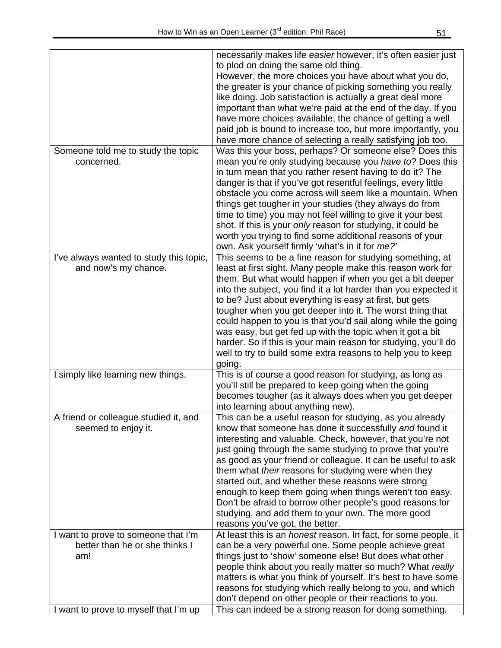|                                         | necessarily makes life easier however, it's often easier just          |
|-----------------------------------------|------------------------------------------------------------------------|
|                                         | to plod on doing the same old thing.                                   |
|                                         | However, the more choices you have about what you do,                  |
|                                         | the greater is your chance of picking something you really             |
|                                         | like doing. Job satisfaction is actually a great deal more             |
|                                         | important than what we're paid at the end of the day. If you           |
|                                         |                                                                        |
|                                         | have more choices available, the chance of getting a well              |
|                                         | paid job is bound to increase too, but more importantly, you           |
|                                         | have more chance of selecting a really satisfying job too.             |
| Someone told me to study the topic      | Was this your boss, perhaps? Or someone else? Does this                |
| concerned.                              | mean you're only studying because you have to? Does this               |
|                                         | in turn mean that you rather resent having to do it? The               |
|                                         | danger is that if you've got resentful feelings, every little          |
|                                         | obstacle you come across will seem like a mountain. When               |
|                                         | things get tougher in your studies (they always do from                |
|                                         | time to time) you may not feel willing to give it your best            |
|                                         | shot. If this is your only reason for studying, it could be            |
|                                         | worth you trying to find some additional reasons of your               |
|                                         | own. Ask yourself firmly 'what's in it for me?'                        |
| I've always wanted to study this topic, | This seems to be a fine reason for studying something, at              |
| and now's my chance.                    | least at first sight. Many people make this reason work for            |
|                                         | them. But what would happen if when you get a bit deeper               |
|                                         | into the subject, you find it a lot harder than you expected it        |
|                                         | to be? Just about everything is easy at first, but gets                |
|                                         | tougher when you get deeper into it. The worst thing that              |
|                                         | could happen to you is that you'd sail along while the going           |
|                                         | was easy, but get fed up with the topic when it got a bit              |
|                                         | harder. So if this is your main reason for studying, you'll do         |
|                                         | well to try to build some extra reasons to help you to keep            |
|                                         | going.                                                                 |
| I simply like learning new things.      | This is of course a good reason for studying, as long as               |
|                                         | you'll still be prepared to keep going when the going                  |
|                                         | becomes tougher (as it always does when you get deeper                 |
|                                         | into learning about anything new).                                     |
| A friend or colleague studied it, and   |                                                                        |
|                                         | This can be a useful reason for studying, as you already               |
| seemed to enjoy it.                     | know that someone has done it successfully and found it                |
|                                         | interesting and valuable. Check, however, that you're not              |
|                                         | just going through the same studying to prove that you're              |
|                                         | as good as your friend or colleague. It can be useful to ask           |
|                                         | them what their reasons for studying were when they                    |
|                                         | started out, and whether these reasons were strong                     |
|                                         | enough to keep them going when things weren't too easy.                |
|                                         | Don't be afraid to borrow other people's good reasons for              |
|                                         | studying, and add them to your own. The more good                      |
|                                         | reasons you've got, the better.                                        |
| I want to prove to someone that I'm     | At least this is an <i>honest</i> reason. In fact, for some people, it |
| better than he or she thinks I          | can be a very powerful one. Some people achieve great                  |
| am!                                     | things just to 'show' someone else! But does what other                |
|                                         | people think about you really matter so much? What really              |
|                                         | matters is what you think of yourself. It's best to have some          |
|                                         | reasons for studying which really belong to you, and which             |
|                                         | don't depend on other people or their reactions to you.                |
| I want to prove to myself that I'm up   | This can indeed be a strong reason for doing something.                |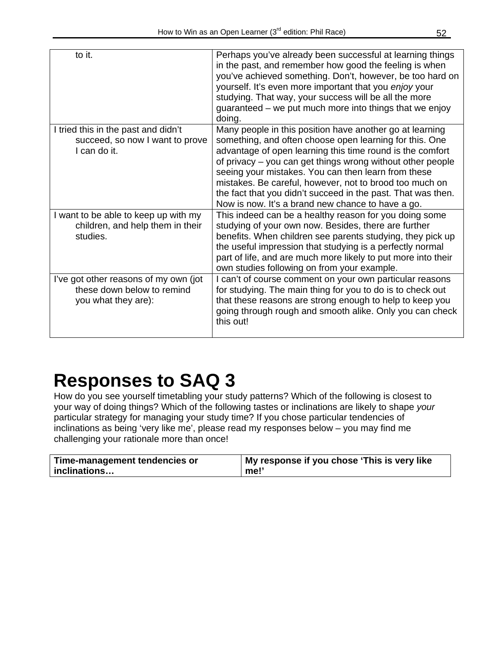| to it.                                                                                     | Perhaps you've already been successful at learning things<br>in the past, and remember how good the feeling is when<br>you've achieved something. Don't, however, be too hard on<br>yourself. It's even more important that you enjoy your<br>studying. That way, your success will be all the more<br>guaranteed – we put much more into things that we enjoy<br>doing.                                                                                                              |
|--------------------------------------------------------------------------------------------|---------------------------------------------------------------------------------------------------------------------------------------------------------------------------------------------------------------------------------------------------------------------------------------------------------------------------------------------------------------------------------------------------------------------------------------------------------------------------------------|
| I tried this in the past and didn't<br>succeed, so now I want to prove<br>I can do it.     | Many people in this position have another go at learning<br>something, and often choose open learning for this. One<br>advantage of open learning this time round is the comfort<br>of privacy - you can get things wrong without other people<br>seeing your mistakes. You can then learn from these<br>mistakes. Be careful, however, not to brood too much on<br>the fact that you didn't succeed in the past. That was then.<br>Now is now. It's a brand new chance to have a go. |
| I want to be able to keep up with my<br>children, and help them in their<br>studies.       | This indeed can be a healthy reason for you doing some<br>studying of your own now. Besides, there are further<br>benefits. When children see parents studying, they pick up<br>the useful impression that studying is a perfectly normal<br>part of life, and are much more likely to put more into their<br>own studies following on from your example.                                                                                                                             |
| I've got other reasons of my own (jot<br>these down below to remind<br>you what they are): | I can't of course comment on your own particular reasons<br>for studying. The main thing for you to do is to check out<br>that these reasons are strong enough to help to keep you<br>going through rough and smooth alike. Only you can check<br>this out!                                                                                                                                                                                                                           |

How do you see yourself timetabling your study patterns? Which of the following is closest to your way of doing things? Which of the following tastes or inclinations are likely to shape *your* particular strategy for managing your study time? If you chose particular tendencies of inclinations as being 'very like me', please read my responses below – you may find me challenging your rationale more than once!

| Time-management tendencies or | My response if you chose 'This is very like |
|-------------------------------|---------------------------------------------|
| inclinations                  | me!'                                        |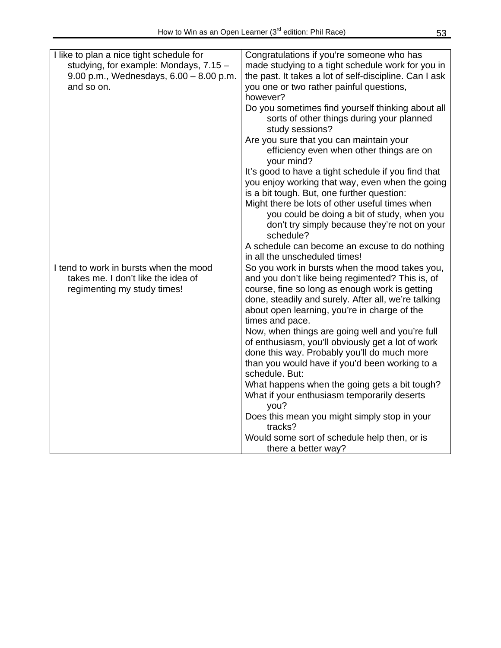| I like to plan a nice tight schedule for  | Congratulations if you're someone who has                    |
|-------------------------------------------|--------------------------------------------------------------|
| studying, for example: Mondays, 7.15 -    | made studying to a tight schedule work for you in            |
| 9.00 p.m., Wednesdays, $6.00 - 8.00$ p.m. | the past. It takes a lot of self-discipline. Can I ask       |
| and so on.                                | you one or two rather painful questions,                     |
|                                           | however?                                                     |
|                                           | Do you sometimes find yourself thinking about all            |
|                                           |                                                              |
|                                           | sorts of other things during your planned<br>study sessions? |
|                                           | Are you sure that you can maintain your                      |
|                                           | efficiency even when other things are on                     |
|                                           | your mind?                                                   |
|                                           | It's good to have a tight schedule if you find that          |
|                                           | you enjoy working that way, even when the going              |
|                                           | is a bit tough. But, one further question:                   |
|                                           | Might there be lots of other useful times when               |
|                                           | you could be doing a bit of study, when you                  |
|                                           | don't try simply because they're not on your                 |
|                                           | schedule?                                                    |
|                                           | A schedule can become an excuse to do nothing                |
|                                           | in all the unscheduled times!                                |
| I tend to work in bursts when the mood    | So you work in bursts when the mood takes you,               |
| takes me. I don't like the idea of        | and you don't like being regimented? This is, of             |
| regimenting my study times!               | course, fine so long as enough work is getting               |
|                                           | done, steadily and surely. After all, we're talking          |
|                                           | about open learning, you're in charge of the                 |
|                                           | times and pace.                                              |
|                                           | Now, when things are going well and you're full              |
|                                           | of enthusiasm, you'll obviously get a lot of work            |
|                                           | done this way. Probably you'll do much more                  |
|                                           | than you would have if you'd been working to a               |
|                                           | schedule. But:                                               |
|                                           | What happens when the going gets a bit tough?                |
|                                           | What if your enthusiasm temporarily deserts<br>you?          |
|                                           | Does this mean you might simply stop in your                 |
|                                           | tracks?                                                      |
|                                           | Would some sort of schedule help then, or is                 |
|                                           | there a better way?                                          |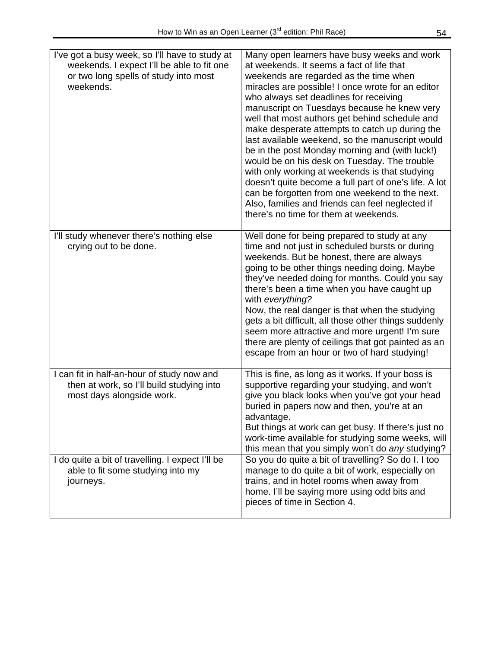| I've got a busy week, so I'll have to study at<br>weekends. I expect I'll be able to fit one<br>or two long spells of study into most<br>weekends. | Many open learners have busy weeks and work<br>at weekends. It seems a fact of life that<br>weekends are regarded as the time when<br>miracles are possible! I once wrote for an editor<br>who always set deadlines for receiving<br>manuscript on Tuesdays because he knew very<br>well that most authors get behind schedule and<br>make desperate attempts to catch up during the<br>last available weekend, so the manuscript would<br>be in the post Monday morning and (with luck!)<br>would be on his desk on Tuesday. The trouble<br>with only working at weekends is that studying<br>doesn't quite become a full part of one's life. A lot<br>can be forgotten from one weekend to the next.<br>Also, families and friends can feel neglected if<br>there's no time for them at weekends. |
|----------------------------------------------------------------------------------------------------------------------------------------------------|-----------------------------------------------------------------------------------------------------------------------------------------------------------------------------------------------------------------------------------------------------------------------------------------------------------------------------------------------------------------------------------------------------------------------------------------------------------------------------------------------------------------------------------------------------------------------------------------------------------------------------------------------------------------------------------------------------------------------------------------------------------------------------------------------------|
| I'll study whenever there's nothing else<br>crying out to be done.                                                                                 | Well done for being prepared to study at any<br>time and not just in scheduled bursts or during<br>weekends. But be honest, there are always<br>going to be other things needing doing. Maybe<br>they've needed doing for months. Could you say<br>there's been a time when you have caught up<br>with everything?<br>Now, the real danger is that when the studying<br>gets a bit difficult, all those other things suddenly<br>seem more attractive and more urgent! I'm sure<br>there are plenty of ceilings that got painted as an<br>escape from an hour or two of hard studying!                                                                                                                                                                                                              |
| I can fit in half-an-hour of study now and<br>then at work, so I'll build studying into<br>most days alongside work.                               | This is fine, as long as it works. If your boss is<br>supportive regarding your studying, and won't<br>give you black looks when you've got your head<br>buried in papers now and then, you're at an<br>advantage.<br>But things at work can get busy. If there's just no<br>work-time available for studying some weeks, will<br>this mean that you simply won't do any studying?                                                                                                                                                                                                                                                                                                                                                                                                                  |
| I do quite a bit of travelling. I expect I'll be<br>able to fit some studying into my<br>journeys.                                                 | So you do quite a bit of travelling? So do I. I too<br>manage to do quite a bit of work, especially on<br>trains, and in hotel rooms when away from<br>home. I'll be saying more using odd bits and<br>pieces of time in Section 4.                                                                                                                                                                                                                                                                                                                                                                                                                                                                                                                                                                 |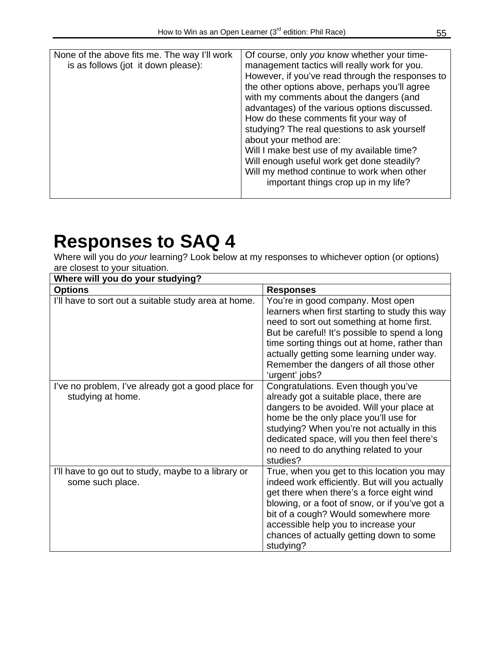| None of the above fits me. The way I'll work<br>is as follows (jot it down please): | Of course, only you know whether your time-<br>management tactics will really work for you.<br>However, if you've read through the responses to<br>the other options above, perhaps you'll agree<br>with my comments about the dangers (and<br>advantages) of the various options discussed.<br>How do these comments fit your way of<br>studying? The real questions to ask yourself<br>about your method are:<br>Will I make best use of my available time?<br>Will enough useful work get done steadily?<br>Will my method continue to work when other<br>important things crop up in my life? |
|-------------------------------------------------------------------------------------|---------------------------------------------------------------------------------------------------------------------------------------------------------------------------------------------------------------------------------------------------------------------------------------------------------------------------------------------------------------------------------------------------------------------------------------------------------------------------------------------------------------------------------------------------------------------------------------------------|

Where will you do *your* learning? Look below at my responses to whichever option (or options) are closest to your situation.

| Where will you do your studying?                                        |                                                                                                                                                                                                                                                                                                                                             |  |  |
|-------------------------------------------------------------------------|---------------------------------------------------------------------------------------------------------------------------------------------------------------------------------------------------------------------------------------------------------------------------------------------------------------------------------------------|--|--|
| <b>Options</b>                                                          | <b>Responses</b>                                                                                                                                                                                                                                                                                                                            |  |  |
| I'll have to sort out a suitable study area at home.                    | You're in good company. Most open<br>learners when first starting to study this way<br>need to sort out something at home first.<br>But be careful! It's possible to spend a long<br>time sorting things out at home, rather than<br>actually getting some learning under way.<br>Remember the dangers of all those other<br>'urgent' jobs? |  |  |
| I've no problem, I've already got a good place for<br>studying at home. | Congratulations. Even though you've<br>already got a suitable place, there are<br>dangers to be avoided. Will your place at<br>home be the only place you'll use for<br>studying? When you're not actually in this<br>dedicated space, will you then feel there's<br>no need to do anything related to your<br>studies?                     |  |  |
| I'll have to go out to study, maybe to a library or<br>some such place. | True, when you get to this location you may<br>indeed work efficiently. But will you actually<br>get there when there's a force eight wind<br>blowing, or a foot of snow, or if you've got a<br>bit of a cough? Would somewhere more<br>accessible help you to increase your<br>chances of actually getting down to some<br>studying?       |  |  |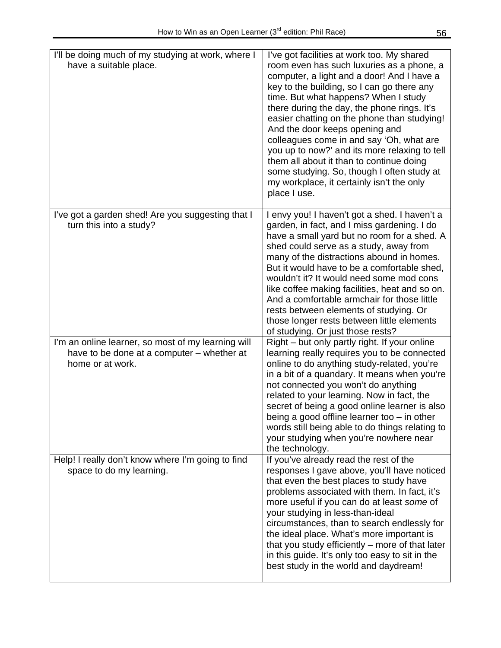| I'll be doing much of my studying at work, where I<br>have a suitable place.                                         | I've got facilities at work too. My shared<br>room even has such luxuries as a phone, a<br>computer, a light and a door! And I have a<br>key to the building, so I can go there any<br>time. But what happens? When I study<br>there during the day, the phone rings. It's<br>easier chatting on the phone than studying!<br>And the door keeps opening and<br>colleagues come in and say 'Oh, what are<br>you up to now?' and its more relaxing to tell<br>them all about it than to continue doing<br>some studying. So, though I often study at<br>my workplace, it certainly isn't the only<br>place I use. |
|----------------------------------------------------------------------------------------------------------------------|-----------------------------------------------------------------------------------------------------------------------------------------------------------------------------------------------------------------------------------------------------------------------------------------------------------------------------------------------------------------------------------------------------------------------------------------------------------------------------------------------------------------------------------------------------------------------------------------------------------------|
| I've got a garden shed! Are you suggesting that I<br>turn this into a study?                                         | I envy you! I haven't got a shed. I haven't a<br>garden, in fact, and I miss gardening. I do<br>have a small yard but no room for a shed. A<br>shed could serve as a study, away from<br>many of the distractions abound in homes.<br>But it would have to be a comfortable shed,<br>wouldn't it? It would need some mod cons<br>like coffee making facilities, heat and so on.<br>And a comfortable armchair for those little<br>rests between elements of studying. Or<br>those longer rests between little elements<br>of studying. Or just those rests?                                                     |
| I'm an online learner, so most of my learning will<br>have to be done at a computer – whether at<br>home or at work. | Right – but only partly right. If your online<br>learning really requires you to be connected<br>online to do anything study-related, you're<br>in a bit of a quandary. It means when you're<br>not connected you won't do anything<br>related to your learning. Now in fact, the<br>secret of being a good online learner is also<br>being a good offline learner too $-$ in other<br>words still being able to do things relating to<br>your studying when you're nowhere near<br>the technology.                                                                                                             |
| Help! I really don't know where I'm going to find<br>space to do my learning.                                        | If you've already read the rest of the<br>responses I gave above, you'll have noticed<br>that even the best places to study have<br>problems associated with them. In fact, it's<br>more useful if you can do at least some of<br>your studying in less-than-ideal<br>circumstances, than to search endlessly for<br>the ideal place. What's more important is<br>that you study efficiently – more of that later<br>in this guide. It's only too easy to sit in the<br>best study in the world and daydream!                                                                                                   |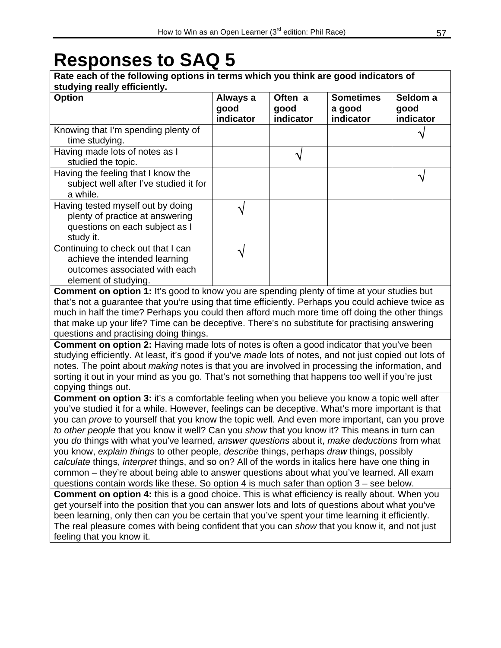| Rate each of the following options in terms which you think are good indicators of<br>studying really efficiently.                                                                                                                                                                                                                                                                                                                                                                                                                                                                                                                                                                                                                                                                                                                                                                                                                                                                                                                                                                                                                                                                                                                                                                                                                               |                               |                              |                                         |                               |
|--------------------------------------------------------------------------------------------------------------------------------------------------------------------------------------------------------------------------------------------------------------------------------------------------------------------------------------------------------------------------------------------------------------------------------------------------------------------------------------------------------------------------------------------------------------------------------------------------------------------------------------------------------------------------------------------------------------------------------------------------------------------------------------------------------------------------------------------------------------------------------------------------------------------------------------------------------------------------------------------------------------------------------------------------------------------------------------------------------------------------------------------------------------------------------------------------------------------------------------------------------------------------------------------------------------------------------------------------|-------------------------------|------------------------------|-----------------------------------------|-------------------------------|
| <b>Option</b>                                                                                                                                                                                                                                                                                                                                                                                                                                                                                                                                                                                                                                                                                                                                                                                                                                                                                                                                                                                                                                                                                                                                                                                                                                                                                                                                    | Always a<br>good<br>indicator | Often a<br>good<br>indicator | <b>Sometimes</b><br>a good<br>indicator | Seldom a<br>good<br>indicator |
| Knowing that I'm spending plenty of                                                                                                                                                                                                                                                                                                                                                                                                                                                                                                                                                                                                                                                                                                                                                                                                                                                                                                                                                                                                                                                                                                                                                                                                                                                                                                              |                               |                              |                                         |                               |
| time studying.                                                                                                                                                                                                                                                                                                                                                                                                                                                                                                                                                                                                                                                                                                                                                                                                                                                                                                                                                                                                                                                                                                                                                                                                                                                                                                                                   |                               |                              |                                         |                               |
| Having made lots of notes as I<br>studied the topic.                                                                                                                                                                                                                                                                                                                                                                                                                                                                                                                                                                                                                                                                                                                                                                                                                                                                                                                                                                                                                                                                                                                                                                                                                                                                                             |                               | ٦                            |                                         |                               |
| Having the feeling that I know the<br>subject well after I've studied it for<br>a while.                                                                                                                                                                                                                                                                                                                                                                                                                                                                                                                                                                                                                                                                                                                                                                                                                                                                                                                                                                                                                                                                                                                                                                                                                                                         |                               |                              |                                         |                               |
| Having tested myself out by doing<br>plenty of practice at answering<br>questions on each subject as I<br>study it.                                                                                                                                                                                                                                                                                                                                                                                                                                                                                                                                                                                                                                                                                                                                                                                                                                                                                                                                                                                                                                                                                                                                                                                                                              |                               |                              |                                         |                               |
| Continuing to check out that I can<br>achieve the intended learning<br>outcomes associated with each<br>element of studying.                                                                                                                                                                                                                                                                                                                                                                                                                                                                                                                                                                                                                                                                                                                                                                                                                                                                                                                                                                                                                                                                                                                                                                                                                     |                               |                              |                                         |                               |
| <b>Comment on option 1:</b> It's good to know you are spending plenty of time at your studies but<br>that's not a guarantee that you're using that time efficiently. Perhaps you could achieve twice as<br>much in half the time? Perhaps you could then afford much more time off doing the other things<br>that make up your life? Time can be deceptive. There's no substitute for practising answering<br>questions and practising doing things.<br><b>Comment on option 2:</b> Having made lots of notes is often a good indicator that you've been<br>studying efficiently. At least, it's good if you've made lots of notes, and not just copied out lots of<br>notes. The point about <i>making</i> notes is that you are involved in processing the information, and<br>sorting it out in your mind as you go. That's not something that happens too well if you're just<br>copying things out.                                                                                                                                                                                                                                                                                                                                                                                                                                         |                               |                              |                                         |                               |
| <b>Comment on option 3:</b> it's a comfortable feeling when you believe you know a topic well after<br>you've studied it for a while. However, feelings can be deceptive. What's more important is that<br>you can prove to yourself that you know the topic well. And even more important, can you prove<br>to other people that you know it well? Can you show that you know it? This means in turn can<br>you do things with what you've learned, answer questions about it, make deductions from what<br>you know, explain things to other people, describe things, perhaps draw things, possibly<br>calculate things, interpret things, and so on? All of the words in italics here have one thing in<br>common – they're about being able to answer questions about what you've learned. All exam<br>questions contain words like these. So option 4 is much safer than option 3 – see below.<br><b>Comment on option 4:</b> this is a good choice. This is what efficiency is really about. When you<br>get yourself into the position that you can answer lots and lots of questions about what you've<br>been learning, only then can you be certain that you've spent your time learning it efficiently.<br>The real pleasure comes with being confident that you can show that you know it, and not just<br>feeling that you know it. |                               |                              |                                         |                               |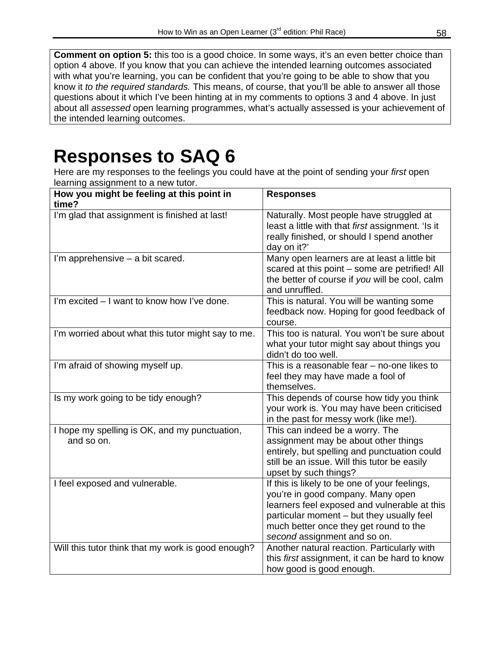**Comment on option 5:** this too is a good choice. In some ways, it's an even better choice than option 4 above. If you know that you can achieve the intended learning outcomes associated with what you're learning, you can be confident that you're going to be able to show that you know it *to the required standards.* This means, of course, that you'll be able to answer all those questions about it which I've been hinting at in my comments to options 3 and 4 above. In just about all *assessed* open learning programmes, what's actually assessed is your achievement of the intended learning outcomes.

### **Responses to SAQ 6**

Here are my responses to the feelings you could have at the point of sending your *first* open learning assignment to a new tutor.

| How you might be feeling at this point in<br>time?          | <b>Responses</b>                                                                                                                                                                                                                                          |
|-------------------------------------------------------------|-----------------------------------------------------------------------------------------------------------------------------------------------------------------------------------------------------------------------------------------------------------|
| I'm glad that assignment is finished at last!               | Naturally. Most people have struggled at<br>least a little with that first assignment. 'Is it<br>really finished, or should I spend another<br>day on it?'                                                                                                |
| I'm apprehensive - a bit scared.                            | Many open learners are at least a little bit<br>scared at this point - some are petrified! All<br>the better of course if you will be cool, calm<br>and unruffled.                                                                                        |
| I'm excited – I want to know how I've done.                 | This is natural. You will be wanting some<br>feedback now. Hoping for good feedback of<br>course.                                                                                                                                                         |
| I'm worried about what this tutor might say to me.          | This too is natural. You won't be sure about<br>what your tutor might say about things you<br>didn't do too well.                                                                                                                                         |
| I'm afraid of showing myself up.                            | This is a reasonable fear - no-one likes to<br>feel they may have made a fool of<br>themselves.                                                                                                                                                           |
| Is my work going to be tidy enough?                         | This depends of course how tidy you think<br>your work is. You may have been criticised<br>in the past for messy work (like me!).                                                                                                                         |
| I hope my spelling is OK, and my punctuation,<br>and so on. | This can indeed be a worry. The<br>assignment may be about other things<br>entirely, but spelling and punctuation could<br>still be an issue. Will this tutor be easily<br>upset by such things?                                                          |
| I feel exposed and vulnerable.                              | If this is likely to be one of your feelings,<br>you're in good company. Many open<br>learners feel exposed and vulnerable at this<br>particular moment - but they usually feel<br>much better once they get round to the<br>second assignment and so on. |
| Will this tutor think that my work is good enough?          | Another natural reaction. Particularly with<br>this first assignment, it can be hard to know<br>how good is good enough.                                                                                                                                  |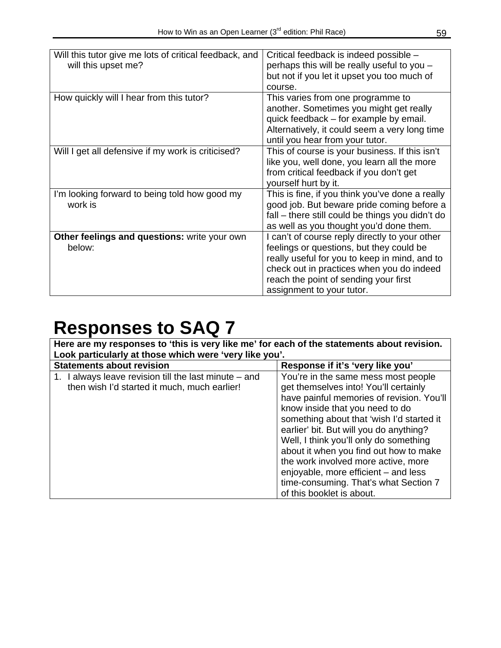| Will this tutor give me lots of critical feedback, and<br>will this upset me? | Critical feedback is indeed possible -<br>perhaps this will be really useful to you -<br>but not if you let it upset you too much of<br>course.                                                                                                                |
|-------------------------------------------------------------------------------|----------------------------------------------------------------------------------------------------------------------------------------------------------------------------------------------------------------------------------------------------------------|
| How quickly will I hear from this tutor?                                      | This varies from one programme to<br>another. Sometimes you might get really<br>quick feedback – for example by email.<br>Alternatively, it could seem a very long time<br>until you hear from your tutor.                                                     |
| Will I get all defensive if my work is criticised?                            | This of course is your business. If this isn't<br>like you, well done, you learn all the more<br>from critical feedback if you don't get<br>yourself hurt by it.                                                                                               |
| I'm looking forward to being told how good my<br>work is                      | This is fine, if you think you've done a really<br>good job. But beware pride coming before a<br>fall – there still could be things you didn't do<br>as well as you thought you'd done them.                                                                   |
| Other feelings and questions: write your own<br>below:                        | I can't of course reply directly to your other<br>feelings or questions, but they could be<br>really useful for you to keep in mind, and to<br>check out in practices when you do indeed<br>reach the point of sending your first<br>assignment to your tutor. |

| Here are my responses to 'this is very like me' for each of the statements about revision.<br>Look particularly at those which were 'very like you'. |                                                                                                                                                                                                                                                                                                                                                                                                                                                                                               |  |  |
|------------------------------------------------------------------------------------------------------------------------------------------------------|-----------------------------------------------------------------------------------------------------------------------------------------------------------------------------------------------------------------------------------------------------------------------------------------------------------------------------------------------------------------------------------------------------------------------------------------------------------------------------------------------|--|--|
| <b>Statements about revision</b>                                                                                                                     | Response if it's 'very like you'                                                                                                                                                                                                                                                                                                                                                                                                                                                              |  |  |
| 1. I always leave revision till the last minute – and<br>then wish I'd started it much, much earlier!                                                | You're in the same mess most people<br>get themselves into! You'll certainly<br>have painful memories of revision. You'll<br>know inside that you need to do<br>something about that 'wish I'd started it<br>earlier' bit. But will you do anything?<br>Well, I think you'll only do something<br>about it when you find out how to make<br>the work involved more active, more<br>enjoyable, more efficient - and less<br>time-consuming. That's what Section 7<br>of this booklet is about. |  |  |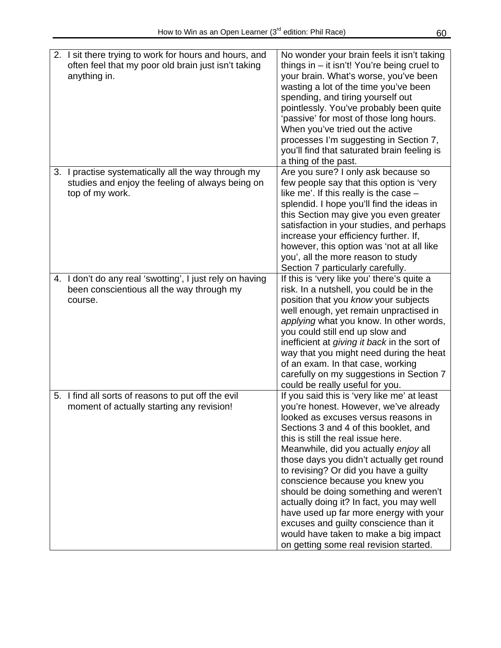| 2. I sit there trying to work for hours and hours, and<br>often feel that my poor old brain just isn't taking<br>anything in. | No wonder your brain feels it isn't taking<br>things in $-$ it isn't! You're being cruel to<br>your brain. What's worse, you've been<br>wasting a lot of the time you've been<br>spending, and tiring yourself out<br>pointlessly. You've probably been quite<br>'passive' for most of those long hours.<br>When you've tried out the active<br>processes I'm suggesting in Section 7,<br>you'll find that saturated brain feeling is<br>a thing of the past.                                                                                                                                                                          |
|-------------------------------------------------------------------------------------------------------------------------------|----------------------------------------------------------------------------------------------------------------------------------------------------------------------------------------------------------------------------------------------------------------------------------------------------------------------------------------------------------------------------------------------------------------------------------------------------------------------------------------------------------------------------------------------------------------------------------------------------------------------------------------|
| 3. I practise systematically all the way through my<br>studies and enjoy the feeling of always being on<br>top of my work.    | Are you sure? I only ask because so<br>few people say that this option is 'very<br>like me'. If this really is the case $-$<br>splendid. I hope you'll find the ideas in<br>this Section may give you even greater<br>satisfaction in your studies, and perhaps<br>increase your efficiency further. If,<br>however, this option was 'not at all like<br>you', all the more reason to study<br>Section 7 particularly carefully.                                                                                                                                                                                                       |
| 4. I don't do any real 'swotting', I just rely on having<br>been conscientious all the way through my<br>course.              | If this is 'very like you' there's quite a<br>risk. In a nutshell, you could be in the<br>position that you know your subjects<br>well enough, yet remain unpractised in<br>applying what you know. In other words,<br>you could still end up slow and<br>inefficient at giving it back in the sort of<br>way that you might need during the heat<br>of an exam. In that case, working<br>carefully on my suggestions in Section 7<br>could be really useful for you.                                                                                                                                                                  |
| 5. I find all sorts of reasons to put off the evil<br>moment of actually starting any revision!                               | If you said this is 'very like me' at least<br>you're honest. However, we've already<br>looked as excuses versus reasons in<br>Sections 3 and 4 of this booklet, and<br>this is still the real issue here.<br>Meanwhile, did you actually enjoy all<br>those days you didn't actually get round<br>to revising? Or did you have a guilty<br>conscience because you knew you<br>should be doing something and weren't<br>actually doing it? In fact, you may well<br>have used up far more energy with your<br>excuses and guilty conscience than it<br>would have taken to make a big impact<br>on getting some real revision started. |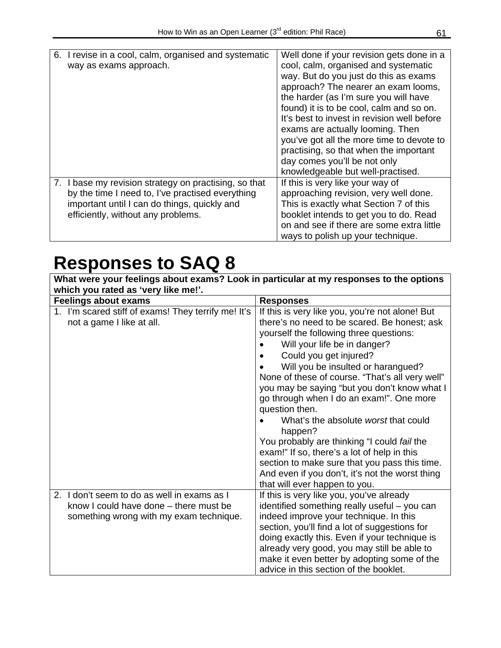| 6. I revise in a cool, calm, organised and systematic | Well done if your revision gets done in a   |
|-------------------------------------------------------|---------------------------------------------|
| way as exams approach.                                | cool, calm, organised and systematic        |
|                                                       | way. But do you just do this as exams       |
|                                                       | approach? The nearer an exam looms,         |
|                                                       | the harder (as I'm sure you will have       |
|                                                       | found) it is to be cool, calm and so on.    |
|                                                       | It's best to invest in revision well before |
|                                                       |                                             |
|                                                       | exams are actually looming. Then            |
|                                                       | you've got all the more time to devote to   |
|                                                       | practising, so that when the important      |
|                                                       | day comes you'll be not only                |
|                                                       | knowledgeable but well-practised.           |
| 7. I base my revision strategy on practising, so that | If this is very like your way of            |
| by the time I need to, I've practised everything      | approaching revision, very well done.       |
| important until I can do things, quickly and          | This is exactly what Section 7 of this      |
| efficiently, without any problems.                    | booklet intends to get you to do. Read      |
|                                                       | on and see if there are some extra little   |
|                                                       | ways to polish up your technique.           |

| What were your feelings about exams? Look in particular at my responses to the options |                                                 |  |  |
|----------------------------------------------------------------------------------------|-------------------------------------------------|--|--|
| which you rated as 'very like me!'.                                                    |                                                 |  |  |
| <b>Feelings about exams</b>                                                            | <b>Responses</b>                                |  |  |
| 1. I'm scared stiff of exams! They terrify me! It's                                    | If this is very like you, you're not alone! But |  |  |
| not a game I like at all.                                                              | there's no need to be scared. Be honest; ask    |  |  |
|                                                                                        | yourself the following three questions:         |  |  |
|                                                                                        | Will your life be in danger?                    |  |  |
|                                                                                        | Could you get injured?                          |  |  |
|                                                                                        | Will you be insulted or harangued?              |  |  |
|                                                                                        | None of these of course. "That's all very well" |  |  |
|                                                                                        | you may be saying "but you don't know what I    |  |  |
|                                                                                        | go through when I do an exam!". One more        |  |  |
|                                                                                        | question then.                                  |  |  |
|                                                                                        | What's the absolute worst that could<br>happen? |  |  |
|                                                                                        | You probably are thinking "I could fail the     |  |  |
|                                                                                        | exam!" If so, there's a lot of help in this     |  |  |
|                                                                                        | section to make sure that you pass this time.   |  |  |
|                                                                                        | And even if you don't, it's not the worst thing |  |  |
|                                                                                        | that will ever happen to you.                   |  |  |
| I don't seem to do as well in exams as I<br>2.                                         | If this is very like you, you've already        |  |  |
| know I could have done – there must be                                                 | identified something really useful - you can    |  |  |
| something wrong with my exam technique.                                                | indeed improve your technique. In this          |  |  |
|                                                                                        | section, you'll find a lot of suggestions for   |  |  |
|                                                                                        | doing exactly this. Even if your technique is   |  |  |
|                                                                                        | already very good, you may still be able to     |  |  |
|                                                                                        | make it even better by adopting some of the     |  |  |
|                                                                                        | advice in this section of the booklet.          |  |  |